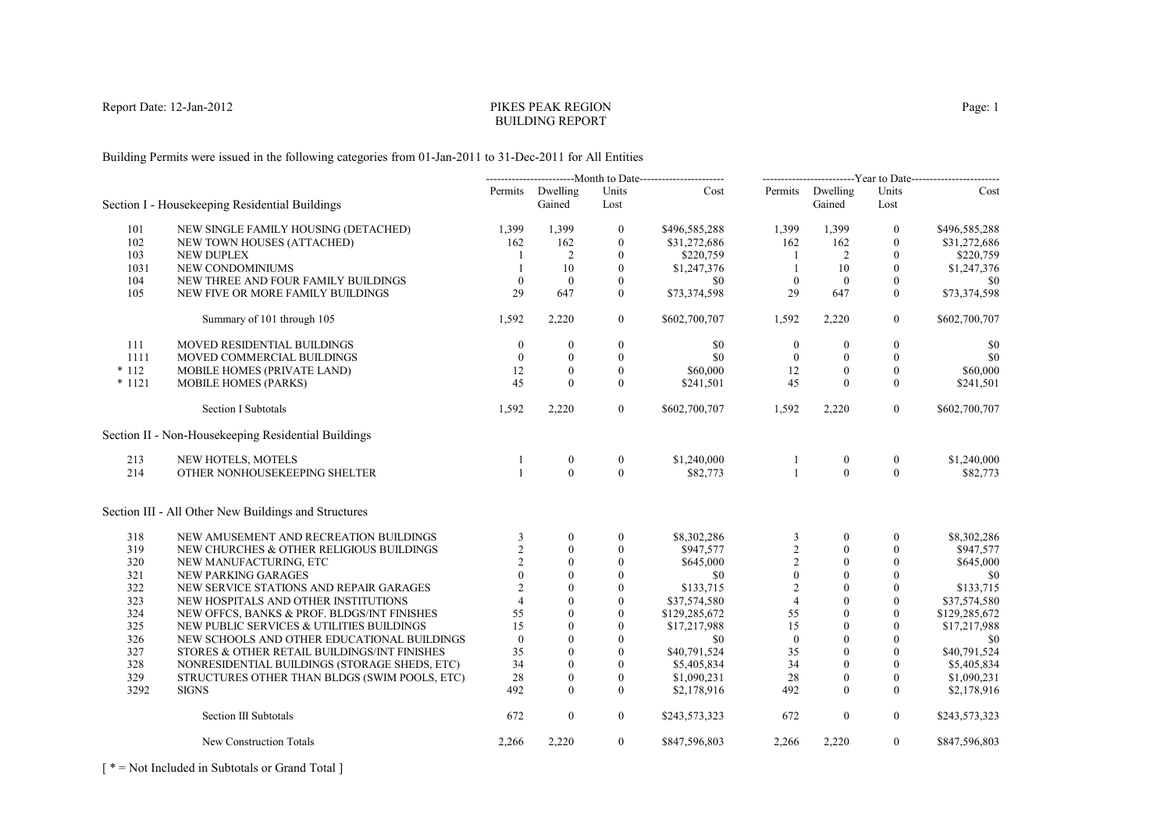# PIKES PEAK REGIONBUILDING REPORT

Building Permits were issued in the following categories from 01-Jan-2011 to 31-Dec-2011 for All Entities

|          |                                                      |                |                            |                  |               | -------------------------Year to Date------------------------ |                            |                  |               |
|----------|------------------------------------------------------|----------------|----------------------------|------------------|---------------|---------------------------------------------------------------|----------------------------|------------------|---------------|
|          | Section I - Housekeeping Residential Buildings       |                | Permits Dwelling<br>Gained | Units<br>Lost    | Cost          |                                                               | Permits Dwelling<br>Gained | Units<br>Lost    | Cost          |
| 101      | NEW SINGLE FAMILY HOUSING (DETACHED)                 | 1,399          | 1,399                      | $\boldsymbol{0}$ | \$496,585,288 | 1,399                                                         | 1,399                      | $\bf{0}$         | \$496,585,288 |
| 102      | NEW TOWN HOUSES (ATTACHED)                           | 162            | 162                        | $\mathbf{0}$     | \$31,272,686  | 162                                                           | 162                        | $\mathbf{0}$     | \$31,272,686  |
| 103      | <b>NEW DUPLEX</b>                                    |                | 2                          | $\theta$         | \$220,759     | -1                                                            | 2                          | $\Omega$         | \$220,759     |
| 1031     | NEW CONDOMINIUMS                                     | $\mathbf{1}$   | 10                         | $\mathbf{0}$     | \$1,247,376   | -1                                                            | 10                         | $\mathbf{0}$     | \$1,247,376   |
| 104      | NEW THREE AND FOUR FAMILY BUILDINGS                  | $\mathbf{0}$   | $\overline{0}$             | $\mathbf{0}$     | \$0           | $\overline{0}$                                                | $\overline{0}$             | $\mathbf{0}$     | \$0           |
| 105      | NEW FIVE OR MORE FAMILY BUILDINGS                    | 29             | 647                        | $\overline{0}$   | \$73,374,598  | 29                                                            | 647                        | $\theta$         | \$73,374,598  |
|          |                                                      |                |                            |                  |               |                                                               |                            |                  |               |
|          | Summary of 101 through 105                           | 1,592          | 2,220                      | $\overline{0}$   | \$602,700,707 | 1,592                                                         | 2,220                      | $\boldsymbol{0}$ | \$602,700,707 |
| 111      | MOVED RESIDENTIAL BUILDINGS                          | $\theta$       | $\mathbf{0}$               | $\boldsymbol{0}$ | \$0           | $\boldsymbol{0}$                                              | $\mathbf{0}$               | $\boldsymbol{0}$ | \$0           |
| 1111     | MOVED COMMERCIAL BUILDINGS                           | $\theta$       | $\theta$                   | $\mathbf{0}$     | \$0           | $\overline{0}$                                                | $\mathbf{0}$               | $\mathbf{0}$     | \$0           |
| $*112$   | MOBILE HOMES (PRIVATE LAND)                          | 12             | $\mathbf{0}$               | $\boldsymbol{0}$ | \$60,000      | 12                                                            | $\mathbf{0}$               | $\mathbf{0}$     | \$60,000      |
| $* 1121$ | <b>MOBILE HOMES (PARKS)</b>                          | 45             | $\theta$                   | $\overline{0}$   | \$241,501     | 45                                                            | $\mathbf{0}$               | $\mathbf{0}$     | \$241,501     |
|          | Section I Subtotals                                  | 1,592          | 2,220                      | $\overline{0}$   | \$602,700,707 | 1,592                                                         | 2,220                      | $\overline{0}$   | \$602,700,707 |
|          | Section II - Non-Housekeeping Residential Buildings  |                |                            |                  |               |                                                               |                            |                  |               |
| 213      | NEW HOTELS, MOTELS                                   | 1              | $\boldsymbol{0}$           | $\boldsymbol{0}$ | \$1,240,000   | $\mathbf{1}$                                                  | $\boldsymbol{0}$           | $\boldsymbol{0}$ | \$1,240,000   |
| 214      | OTHER NONHOUSEKEEPING SHELTER                        | $\mathbf{1}$   | $\Omega$                   | $\Omega$         | \$82,773      | $\mathbf{1}$                                                  | $\theta$                   | $\theta$         | \$82,773      |
|          | Section III - All Other New Buildings and Structures |                |                            |                  |               |                                                               |                            |                  |               |
| 318      | NEW AMUSEMENT AND RECREATION BUILDINGS               | 3              | $\boldsymbol{0}$           | $\boldsymbol{0}$ | \$8,302,286   | 3                                                             | $\mathbf{0}$               | $\boldsymbol{0}$ | \$8,302,286   |
| 319      | NEW CHURCHES & OTHER RELIGIOUS BUILDINGS             | $\overline{2}$ | $\theta$                   | $\mathbf{0}$     | \$947,577     | $\overline{2}$                                                | $\theta$                   | $\theta$         | \$947,577     |
| 320      | NEW MANUFACTURING, ETC                               | $\sqrt{2}$     | $\theta$                   | $\boldsymbol{0}$ | \$645,000     | $\sqrt{2}$                                                    | $\boldsymbol{0}$           | $\boldsymbol{0}$ | \$645,000     |
| 321      | NEW PARKING GARAGES                                  | $\theta$       | $\theta$                   | $\theta$         | \$0           | $\mathbf{0}$                                                  | $\theta$                   | $\mathbf{0}$     | \$0           |
| 322      | NEW SERVICE STATIONS AND REPAIR GARAGES              | $\overline{2}$ | $\theta$                   | $\theta$         | \$133,715     | $\overline{2}$                                                | $\theta$                   | $\Omega$         | \$133,715     |
| 323      | NEW HOSPITALS AND OTHER INSTITUTIONS                 | $\overline{4}$ | $\theta$                   | $\mathbf{0}$     | \$37,574,580  | $\overline{4}$                                                | $\mathbf{0}$               | $\mathbf{0}$     | \$37,574,580  |
| 324      | NEW OFFCS, BANKS & PROF. BLDGS/INT FINISHES          | 55             | $\Omega$                   | $\theta$         | \$129,285,672 | 55                                                            | $\Omega$                   | $\mathbf{0}$     | \$129,285,672 |
| 325      | NEW PUBLIC SERVICES & UTILITIES BUILDINGS            | 15             | $\mathbf{0}$               | $\mathbf{0}$     | \$17,217,988  | 15                                                            | $\mathbf{0}$               | $\mathbf{0}$     | \$17,217,988  |
| 326      | NEW SCHOOLS AND OTHER EDUCATIONAL BUILDINGS          | $\mathbf{0}$   | $\theta$                   | $\mathbf{0}$     | \$0           | $\mathbf{0}$                                                  | $\mathbf{0}$               | $\mathbf{0}$     | \$0           |
| 327      | STORES & OTHER RETAIL BUILDINGS/INT FINISHES         | 35             | $\theta$                   | $\mathbf{0}$     | \$40,791,524  | 35                                                            | $\mathbf{0}$               | $\Omega$         | \$40,791,524  |
| 328      | NONRESIDENTIAL BUILDINGS (STORAGE SHEDS, ETC)        | 34             | $\mathbf{0}$               | $\mathbf{0}$     | \$5,405,834   | 34                                                            | $\mathbf{0}$               | $\mathbf{0}$     | \$5,405,834   |
| 329      | STRUCTURES OTHER THAN BLDGS (SWIM POOLS, ETC)        | 28             | $\theta$                   | $\mathbf{0}$     | \$1,090,231   | 28                                                            | $\mathbf{0}$               | $\mathbf{0}$     | \$1,090,231   |
| 3292     | <b>SIGNS</b>                                         | 492            | $\Omega$                   | $\Omega$         | \$2,178,916   | 492                                                           | $\Omega$                   | $\theta$         | \$2,178,916   |
|          | Section III Subtotals                                | 672            | $\overline{0}$             | $\overline{0}$   | \$243,573,323 | 672                                                           | $\boldsymbol{0}$           | $\mathbf{0}$     | \$243,573,323 |
|          | New Construction Totals                              | 2,266          | 2,220                      | $\overline{0}$   | \$847,596,803 | 2,266                                                         | 2,220                      | $\overline{0}$   | \$847,596,803 |

[ \* = Not Included in Subtotals or Grand Total ]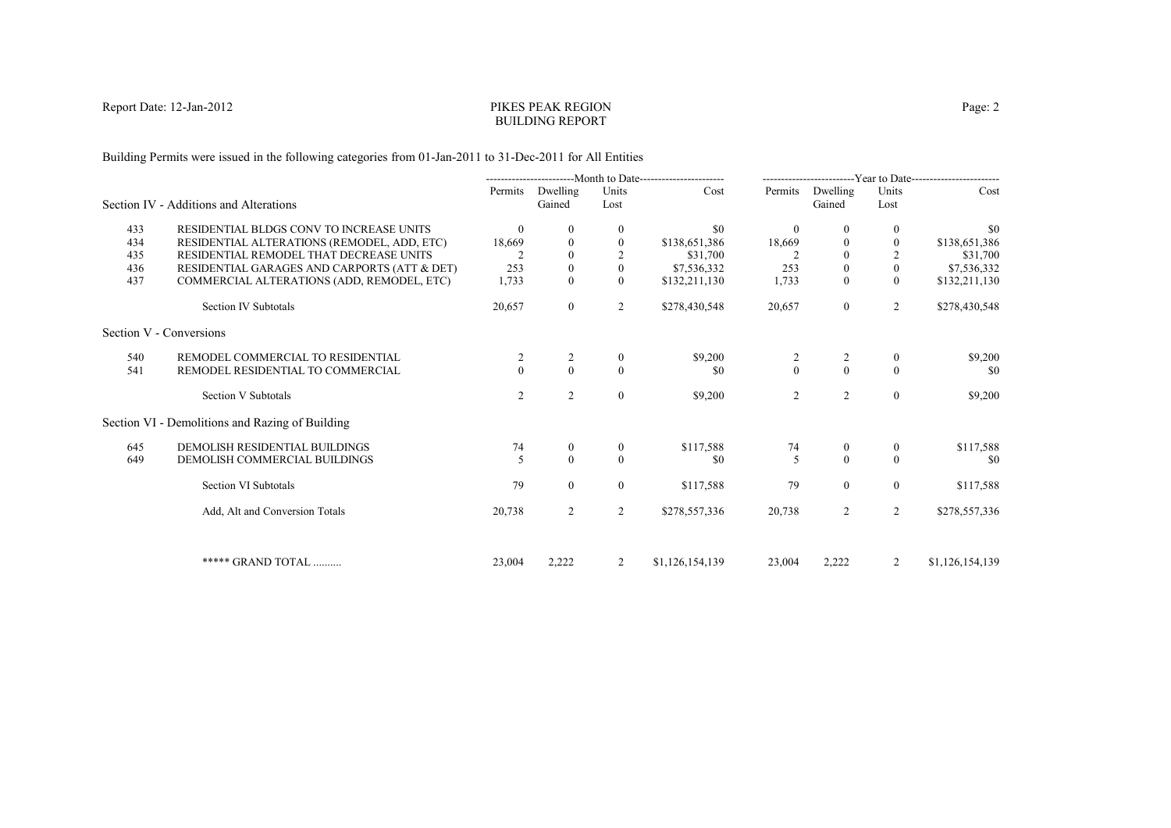## PIKES PEAK REGIONBUILDING REPORT

Building Permits were issued in the following categories from 01-Jan-2011 to 31-Dec-2011 for All Entities

|     |                                                 | ----------------------------Month to Date------------------------ |                            | -------------------------Year to Date------------------------ |                 |                                      |                    |                  |                 |
|-----|-------------------------------------------------|-------------------------------------------------------------------|----------------------------|---------------------------------------------------------------|-----------------|--------------------------------------|--------------------|------------------|-----------------|
|     | Section IV - Additions and Alterations          |                                                                   | Permits Dwelling<br>Gained | Units<br>Lost                                                 | Cost            | Permits                              | Dwelling<br>Gained | Units<br>Lost    | Cost            |
| 433 | RESIDENTIAL BLDGS CONV TO INCREASE UNITS        | $\theta$                                                          | $\theta$                   | $\mathbf{0}$                                                  | \$0             | $\theta$                             | $\left($           | $\bf{0}$         | \$0             |
| 434 | RESIDENTIAL ALTERATIONS (REMODEL, ADD, ETC)     | 18,669                                                            | $\Omega$                   | $\boldsymbol{0}$                                              | \$138,651,386   | 18,669                               |                    |                  | \$138,651,386   |
| 435 | RESIDENTIAL REMODEL THAT DECREASE UNITS         |                                                                   | $\Omega$                   |                                                               | \$31,700        |                                      | $\Omega$           |                  | \$31,700        |
| 436 | RESIDENTIAL GARAGES AND CARPORTS (ATT & DET)    | 253                                                               | $\mathbf{0}$               | $\mathbf{0}$                                                  | \$7,536,332     | 253                                  | $\mathbf{0}$       | $\mathbf{0}$     | \$7,536,332     |
| 437 | COMMERCIAL ALTERATIONS (ADD, REMODEL, ETC)      | 1,733                                                             | $\mathbf{0}$               | $\overline{0}$                                                | \$132,211,130   | 1,733                                | $\overline{0}$     | $\mathbf{0}$     | \$132,211,130   |
|     | Section IV Subtotals                            | 20,657                                                            | $\overline{0}$             | 2                                                             | \$278,430,548   | 20,657                               | $\overline{0}$     | $\overline{2}$   | \$278,430,548   |
|     | Section V - Conversions                         |                                                                   |                            |                                                               |                 |                                      |                    |                  |                 |
| 540 | REMODEL COMMERCIAL TO RESIDENTIAL               | 2                                                                 | 2                          | $\mathbf{0}$                                                  | \$9,200         |                                      |                    | $\bf{0}$         | \$9,200         |
| 541 | REMODEL RESIDENTIAL TO COMMERCIAL               |                                                                   | $\Omega$                   | $\theta$                                                      | \$0             | $\begin{matrix} 2 \\ 0 \end{matrix}$ | $\frac{2}{0}$      | $\Omega$         | \$0             |
|     | Section V Subtotals                             | 2                                                                 | $\overline{2}$             | $\overline{0}$                                                | \$9,200         | 2                                    | 2                  | $\boldsymbol{0}$ | \$9,200         |
|     | Section VI - Demolitions and Razing of Building |                                                                   |                            |                                                               |                 |                                      |                    |                  |                 |
| 645 | DEMOLISH RESIDENTIAL BUILDINGS                  | 74                                                                | $\overline{0}$             | $\theta$                                                      | \$117,588       | 74                                   | $\overline{0}$     | $\overline{0}$   | \$117,588       |
| 649 | DEMOLISH COMMERCIAL BUILDINGS                   |                                                                   | $\Omega$                   | $\theta$                                                      | \$0             | 5                                    | $\theta$           | $\theta$         | \$0             |
|     | Section VI Subtotals                            | 79                                                                | $\theta$                   | $\overline{0}$                                                | \$117,588       | 79                                   | $\overline{0}$     | $\overline{0}$   | \$117,588       |
|     | Add, Alt and Conversion Totals                  | 20,738                                                            | $\overline{2}$             | 2                                                             | \$278,557,336   | 20,738                               | 2                  | 2                | \$278,557,336   |
|     | ***** GRAND TOTAL                               | 23,004                                                            | 2,222                      | 2                                                             | \$1,126,154,139 | 23,004                               | 2,222              | 2                | \$1,126,154,139 |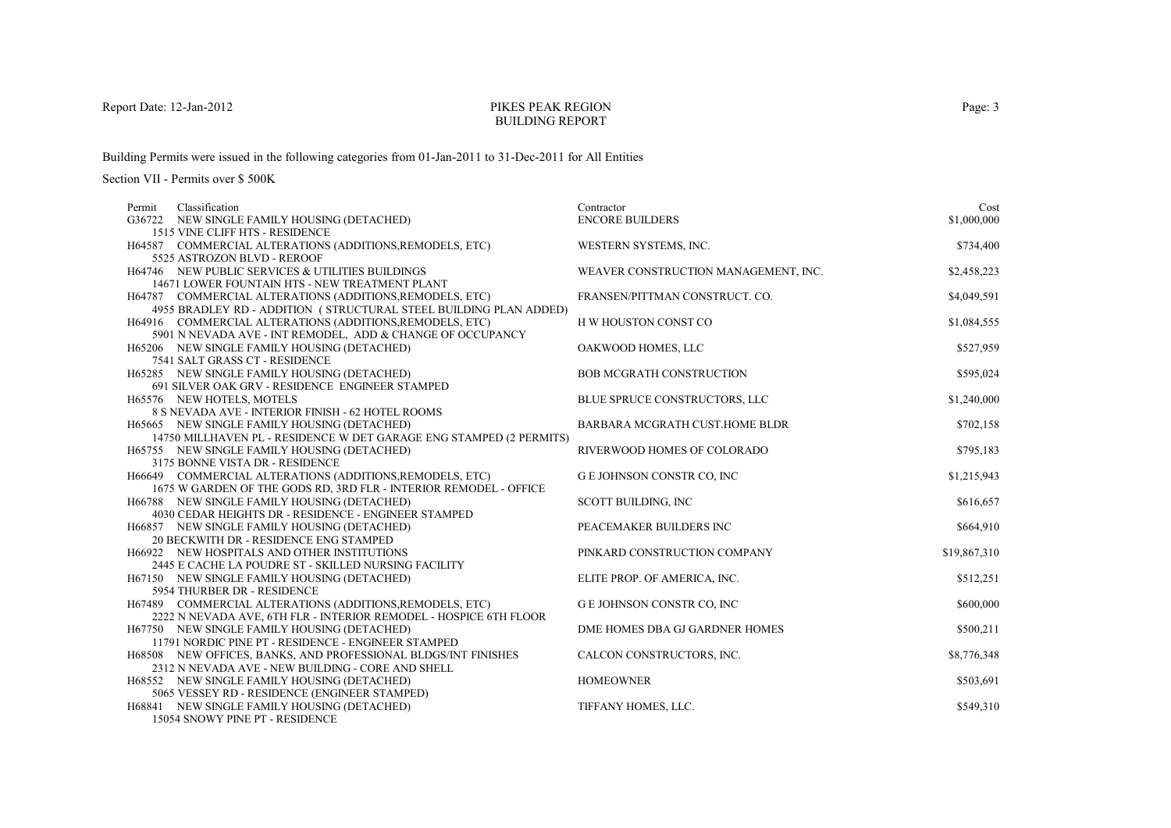### PIKES PEAK REGIONBUILDING REPORT

Building Permits were issued in the following categories from 01-Jan-2011 to 31-Dec-2011 for All Entities

| Classification<br>Permit                                                   | Contractor                           | Cost         |
|----------------------------------------------------------------------------|--------------------------------------|--------------|
| G36722 NEW SINGLE FAMILY HOUSING (DETACHED)                                | <b>ENCORE BUILDERS</b>               | \$1,000,000  |
| 1515 VINE CLIFF HTS - RESIDENCE                                            |                                      |              |
| H64587 COMMERCIAL ALTERATIONS (ADDITIONS, REMODELS, ETC)                   | WESTERN SYSTEMS, INC.                | \$734,400    |
| 5525 ASTROZON BLVD - REROOF                                                |                                      |              |
| H64746 NEW PUBLIC SERVICES & UTILITIES BUILDINGS                           | WEAVER CONSTRUCTION MANAGEMENT, INC. | \$2,458,223  |
| 14671 LOWER FOUNTAIN HTS - NEW TREATMENT PLANT                             |                                      |              |
| H64787 COMMERCIAL ALTERATIONS (ADDITIONS, REMODELS, ETC)                   | FRANSEN/PITTMAN CONSTRUCT. CO.       | \$4,049,591  |
| 4955 BRADLEY RD - ADDITION (STRUCTURAL STEEL BUILDING PLAN ADDED)          |                                      |              |
| H64916 COMMERCIAL ALTERATIONS (ADDITIONS, REMODELS, ETC)                   | H W HOUSTON CONST CO                 | \$1,084,555  |
| 5901 N NEVADA AVE - INT REMODEL, ADD & CHANGE OF OCCUPANCY                 |                                      |              |
| H65206 NEW SINGLE FAMILY HOUSING (DETACHED)                                | OAKWOOD HOMES, LLC                   | \$527,959    |
| 7541 SALT GRASS CT - RESIDENCE                                             |                                      |              |
| H65285 NEW SINGLE FAMILY HOUSING (DETACHED)                                | <b>BOB MCGRATH CONSTRUCTION</b>      | \$595,024    |
| 691 SILVER OAK GRV - RESIDENCE ENGINEER STAMPED                            |                                      |              |
| H65576 NEW HOTELS, MOTELS                                                  | BLUE SPRUCE CONSTRUCTORS, LLC        | \$1,240,000  |
| 8 S NEVADA AVE - INTERIOR FINISH - 62 HOTEL ROOMS                          |                                      |              |
| H65665 NEW SINGLE FAMILY HOUSING (DETACHED)                                | BARBARA MCGRATH CUST.HOME BLDR       | \$702,158    |
| 14750 MILLHAVEN PL - RESIDENCE W DET GARAGE ENG STAMPED (2 PERMITS)        |                                      |              |
| H65755 NEW SINGLE FAMILY HOUSING (DETACHED)                                | RIVERWOOD HOMES OF COLORADO          | \$795,183    |
| 3175 BONNE VISTA DR - RESIDENCE                                            |                                      |              |
| H66649 COMMERCIAL ALTERATIONS (ADDITIONS, REMODELS, ETC)                   | <b>GE JOHNSON CONSTR CO, INC</b>     | \$1,215,943  |
| 1675 W GARDEN OF THE GODS RD, 3RD FLR - INTERIOR REMODEL - OFFICE          |                                      |              |
| H66788 NEW SINGLE FAMILY HOUSING (DETACHED)                                | SCOTT BUILDING, INC                  | \$616,657    |
| 4030 CEDAR HEIGHTS DR - RESIDENCE - ENGINEER STAMPED                       |                                      |              |
| H66857 NEW SINGLE FAMILY HOUSING (DETACHED)                                | PEACEMAKER BUILDERS INC              | \$664,910    |
| 20 BECKWITH DR - RESIDENCE ENG STAMPED                                     | PINKARD CONSTRUCTION COMPANY         |              |
| H66922 NEW HOSPITALS AND OTHER INSTITUTIONS                                |                                      | \$19,867,310 |
| 2445 E CACHE LA POUDRE ST - SKILLED NURSING FACILITY                       |                                      | \$512,251    |
| H67150 NEW SINGLE FAMILY HOUSING (DETACHED)<br>5954 THURBER DR - RESIDENCE | ELITE PROP. OF AMERICA, INC.         |              |
| H67489 COMMERCIAL ALTERATIONS (ADDITIONS, REMODELS, ETC)                   | <b>GE JOHNSON CONSTR CO, INC</b>     | \$600,000    |
| 2222 N NEVADA AVE, 6TH FLR - INTERIOR REMODEL - HOSPICE 6TH FLOOR          |                                      |              |
| H67750 NEW SINGLE FAMILY HOUSING (DETACHED)                                | DME HOMES DBA GJ GARDNER HOMES       | \$500,211    |
| 11791 NORDIC PINE PT - RESIDENCE - ENGINEER STAMPED                        |                                      |              |
| H68508 NEW OFFICES, BANKS, AND PROFESSIONAL BLDGS/INT FINISHES             | CALCON CONSTRUCTORS, INC.            | \$8,776,348  |
| 2312 N NEVADA AVE - NEW BUILDING - CORE AND SHELL                          |                                      |              |
| H68552 NEW SINGLE FAMILY HOUSING (DETACHED)                                | <b>HOMEOWNER</b>                     | \$503,691    |
| 5065 VESSEY RD - RESIDENCE (ENGINEER STAMPED)                              |                                      |              |
| H68841 NEW SINGLE FAMILY HOUSING (DETACHED)                                | TIFFANY HOMES, LLC.                  | \$549,310    |
| 15054 SNOWY PINE PT - RESIDENCE                                            |                                      |              |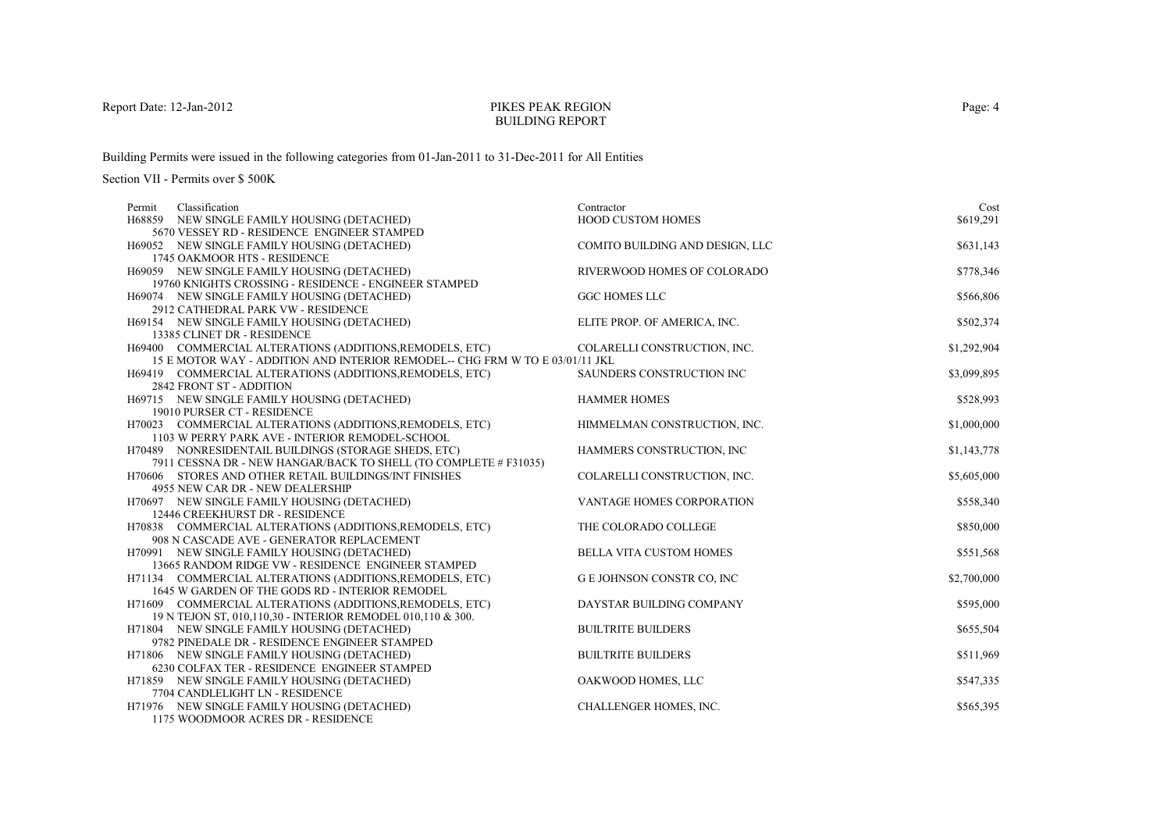### PIKES PEAK REGIONBUILDING REPORT

Building Permits were issued in the following categories from 01-Jan-2011 to 31-Dec-2011 for All Entities

| Classification<br>Permit                                                                    | Contractor                      | Cost        |
|---------------------------------------------------------------------------------------------|---------------------------------|-------------|
| H68859 NEW SINGLE FAMILY HOUSING (DETACHED)                                                 | <b>HOOD CUSTOM HOMES</b>        | \$619,291   |
| 5670 VESSEY RD - RESIDENCE ENGINEER STAMPED                                                 |                                 |             |
| H69052 NEW SINGLE FAMILY HOUSING (DETACHED)                                                 | COMITO BUILDING AND DESIGN, LLC | \$631,143   |
| 1745 OAKMOOR HTS - RESIDENCE                                                                |                                 |             |
| H69059 NEW SINGLE FAMILY HOUSING (DETACHED)                                                 | RIVERWOOD HOMES OF COLORADO     | \$778,346   |
| 19760 KNIGHTS CROSSING - RESIDENCE - ENGINEER STAMPED                                       |                                 |             |
| H69074 NEW SINGLE FAMILY HOUSING (DETACHED)                                                 | <b>GGC HOMES LLC</b>            | \$566,806   |
| 2912 CATHEDRAL PARK VW - RESIDENCE<br>H69154 NEW SINGLE FAMILY HOUSING (DETACHED)           | ELITE PROP. OF AMERICA, INC.    | \$502,374   |
| 13385 CLINET DR - RESIDENCE                                                                 |                                 |             |
| H69400 COMMERCIAL ALTERATIONS (ADDITIONS, REMODELS, ETC)                                    | COLARELLI CONSTRUCTION, INC.    | \$1,292,904 |
| 15 E MOTOR WAY - ADDITION AND INTERIOR REMODEL-- CHG FRM W TO E 03/01/11 JKL                |                                 |             |
| H69419 COMMERCIAL ALTERATIONS (ADDITIONS, REMODELS, ETC)                                    | SAUNDERS CONSTRUCTION INC       | \$3,099,895 |
| 2842 FRONT ST - ADDITION                                                                    |                                 |             |
| H69715 NEW SINGLE FAMILY HOUSING (DETACHED)                                                 | <b>HAMMER HOMES</b>             | \$528,993   |
| 19010 PURSER CT - RESIDENCE                                                                 |                                 |             |
| H70023 COMMERCIAL ALTERATIONS (ADDITIONS, REMODELS, ETC)                                    | HIMMELMAN CONSTRUCTION, INC.    | \$1,000,000 |
| 1103 W PERRY PARK AVE - INTERIOR REMODEL-SCHOOL                                             |                                 |             |
| H70489 NONRESIDENTAIL BUILDINGS (STORAGE SHEDS, ETC)                                        | HAMMERS CONSTRUCTION, INC       | \$1,143,778 |
| 7911 CESSNA DR - NEW HANGAR/BACK TO SHELL (TO COMPLETE # F31035)                            |                                 |             |
| H70606 STORES AND OTHER RETAIL BUILDINGS/INT FINISHES                                       | COLARELLI CONSTRUCTION, INC.    | \$5,605,000 |
| 4955 NEW CAR DR - NEW DEALERSHIP                                                            |                                 |             |
| H70697 NEW SINGLE FAMILY HOUSING (DETACHED)                                                 | VANTAGE HOMES CORPORATION       | \$558,340   |
| 12446 CREEKHURST DR - RESIDENCE<br>H70838 COMMERCIAL ALTERATIONS (ADDITIONS, REMODELS, ETC) | THE COLORADO COLLEGE            | \$850,000   |
| 908 N CASCADE AVE - GENERATOR REPLACEMENT                                                   |                                 |             |
| H70991 NEW SINGLE FAMILY HOUSING (DETACHED)                                                 | <b>BELLA VITA CUSTOM HOMES</b>  | \$551,568   |
| 13665 RANDOM RIDGE VW - RESIDENCE ENGINEER STAMPED                                          |                                 |             |
| H71134 COMMERCIAL ALTERATIONS (ADDITIONS, REMODELS, ETC)                                    | G E JOHNSON CONSTR CO, INC      | \$2,700,000 |
| 1645 W GARDEN OF THE GODS RD - INTERIOR REMODEL                                             |                                 |             |
| H71609 COMMERCIAL ALTERATIONS (ADDITIONS, REMODELS, ETC)                                    | DAYSTAR BUILDING COMPANY        | \$595,000   |
| 19 N TEJON ST, 010,110,30 - INTERIOR REMODEL 010,110 & 300.                                 |                                 |             |
| H71804 NEW SINGLE FAMILY HOUSING (DETACHED)                                                 | <b>BUILTRITE BUILDERS</b>       | \$655,504   |
| 9782 PINEDALE DR - RESIDENCE ENGINEER STAMPED                                               |                                 |             |
| H71806 NEW SINGLE FAMILY HOUSING (DETACHED)                                                 | <b>BUILTRITE BUILDERS</b>       | \$511,969   |
| 6230 COLFAX TER - RESIDENCE ENGINEER STAMPED                                                |                                 |             |
| H71859 NEW SINGLE FAMILY HOUSING (DETACHED)                                                 | OAKWOOD HOMES, LLC              | \$547,335   |
| 7704 CANDLELIGHT LN - RESIDENCE                                                             |                                 |             |
| H71976 NEW SINGLE FAMILY HOUSING (DETACHED)                                                 | CHALLENGER HOMES, INC.          | \$565,395   |
| 1175 WOODMOOR ACRES DR - RESIDENCE                                                          |                                 |             |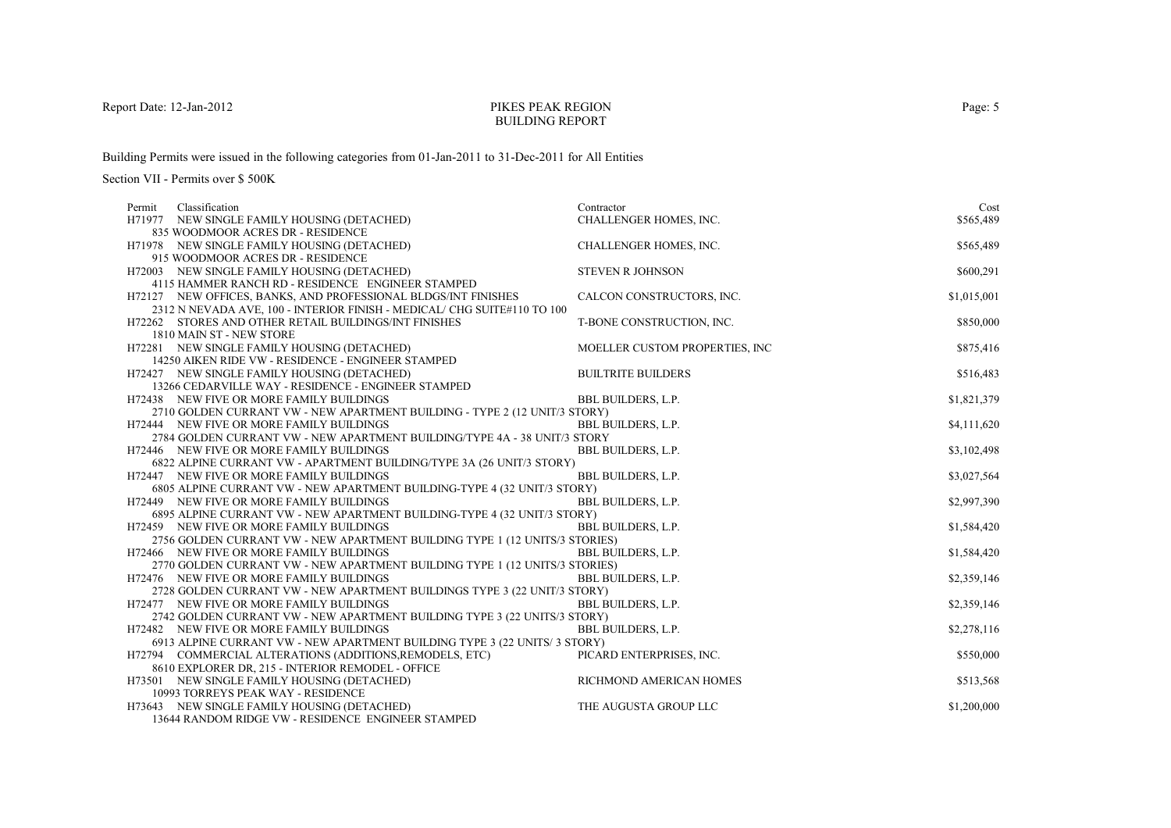#### PIKES PEAK REGIONBUILDING REPORT

Building Permits were issued in the following categories from 01-Jan-2011 to 31-Dec-2011 for All Entities

| Classification<br>Permit                                                    | Contractor                     | Cost        |
|-----------------------------------------------------------------------------|--------------------------------|-------------|
| H71977 NEW SINGLE FAMILY HOUSING (DETACHED)                                 | CHALLENGER HOMES, INC.         | \$565,489   |
| 835 WOODMOOR ACRES DR - RESIDENCE                                           |                                |             |
| H71978 NEW SINGLE FAMILY HOUSING (DETACHED)                                 | <b>CHALLENGER HOMES, INC.</b>  | \$565,489   |
| 915 WOODMOOR ACRES DR - RESIDENCE                                           |                                |             |
| H72003 NEW SINGLE FAMILY HOUSING (DETACHED)                                 | <b>STEVEN R JOHNSON</b>        | \$600,291   |
| 4115 HAMMER RANCH RD - RESIDENCE ENGINEER STAMPED                           |                                |             |
| H72127 NEW OFFICES, BANKS, AND PROFESSIONAL BLDGS/INT FINISHES              | CALCON CONSTRUCTORS, INC.      | \$1,015,001 |
| 2312 N NEVADA AVE, 100 - INTERIOR FINISH - MEDICAL/ CHG SUITE#110 TO 100    |                                |             |
| H72262 STORES AND OTHER RETAIL BUILDINGS/INT FINISHES                       | T-BONE CONSTRUCTION, INC.      | \$850,000   |
| 1810 MAIN ST - NEW STORE                                                    |                                |             |
| H72281 NEW SINGLE FAMILY HOUSING (DETACHED)                                 | MOELLER CUSTOM PROPERTIES, INC | \$875,416   |
| 14250 AIKEN RIDE VW - RESIDENCE - ENGINEER STAMPED                          |                                |             |
| H72427 NEW SINGLE FAMILY HOUSING (DETACHED)                                 | <b>BUILTRITE BUILDERS</b>      | \$516,483   |
| 13266 CEDARVILLE WAY - RESIDENCE - ENGINEER STAMPED                         |                                |             |
| H72438 NEW FIVE OR MORE FAMILY BUILDINGS                                    | <b>BBL BUILDERS, L.P.</b>      | \$1,821,379 |
| 2710 GOLDEN CURRANT VW - NEW APARTMENT BUILDING - TYPE 2 (12 UNIT/3 STORY)  |                                |             |
| H72444 NEW FIVE OR MORE FAMILY BUILDINGS                                    | <b>BBL BUILDERS, L.P.</b>      | \$4,111,620 |
| 2784 GOLDEN CURRANT VW - NEW APARTMENT BUILDING/TYPE 4A - 38 UNIT/3 STORY   |                                |             |
| H72446 NEW FIVE OR MORE FAMILY BUILDINGS                                    | <b>BBL BUILDERS, L.P.</b>      | \$3,102,498 |
| 6822 ALPINE CURRANT VW - APARTMENT BUILDING/TYPE 3A (26 UNIT/3 STORY)       |                                |             |
| H72447 NEW FIVE OR MORE FAMILY BUILDINGS                                    | <b>BBL BUILDERS, L.P.</b>      | \$3,027,564 |
| 6805 ALPINE CURRANT VW - NEW APARTMENT BUILDING-TYPE 4 (32 UNIT/3 STORY)    |                                |             |
| H72449 NEW FIVE OR MORE FAMILY BUILDINGS                                    | <b>BBL BUILDERS, L.P.</b>      | \$2,997,390 |
| 6895 ALPINE CURRANT VW - NEW APARTMENT BUILDING-TYPE 4 (32 UNIT/3 STORY)    |                                |             |
| H72459 NEW FIVE OR MORE FAMILY BUILDINGS                                    | <b>BBL BUILDERS, L.P.</b>      | \$1,584,420 |
| 2756 GOLDEN CURRANT VW - NEW APARTMENT BUILDING TYPE 1 (12 UNITS/3 STORIES) |                                |             |
| H72466 NEW FIVE OR MORE FAMILY BUILDINGS                                    | <b>BBL BUILDERS, L.P.</b>      | \$1,584,420 |
| 2770 GOLDEN CURRANT VW - NEW APARTMENT BUILDING TYPE 1 (12 UNITS/3 STORIES) |                                |             |
| H72476 NEW FIVE OR MORE FAMILY BUILDINGS                                    | <b>BBL BUILDERS, L.P.</b>      | \$2,359,146 |
| 2728 GOLDEN CURRANT VW - NEW APARTMENT BUILDINGS TYPE 3 (22 UNIT/3 STORY)   |                                |             |
| H72477 NEW FIVE OR MORE FAMILY BUILDINGS                                    | <b>BBL BUILDERS, L.P.</b>      | \$2,359,146 |
| 2742 GOLDEN CURRANT VW - NEW APARTMENT BUILDING TYPE 3 (22 UNITS/3 STORY)   |                                |             |
| H72482 NEW FIVE OR MORE FAMILY BUILDINGS                                    | <b>BBL BUILDERS, L.P.</b>      | \$2,278,116 |
| 6913 ALPINE CURRANT VW - NEW APARTMENT BUILDING TYPE 3 (22 UNITS/ 3 STORY)  |                                |             |
| H72794 COMMERCIAL ALTERATIONS (ADDITIONS, REMODELS, ETC)                    | PICARD ENTERPRISES, INC.       | \$550,000   |
| 8610 EXPLORER DR, 215 - INTERIOR REMODEL - OFFICE                           |                                |             |
| H73501 NEW SINGLE FAMILY HOUSING (DETACHED)                                 | RICHMOND AMERICAN HOMES        | \$513,568   |
| 10993 TORREYS PEAK WAY - RESIDENCE                                          |                                |             |
| H73643 NEW SINGLE FAMILY HOUSING (DETACHED)                                 | THE AUGUSTA GROUP LLC          | \$1,200,000 |
| 13644 RANDOM RIDGE VW - RESIDENCE ENGINEER STAMPED                          |                                |             |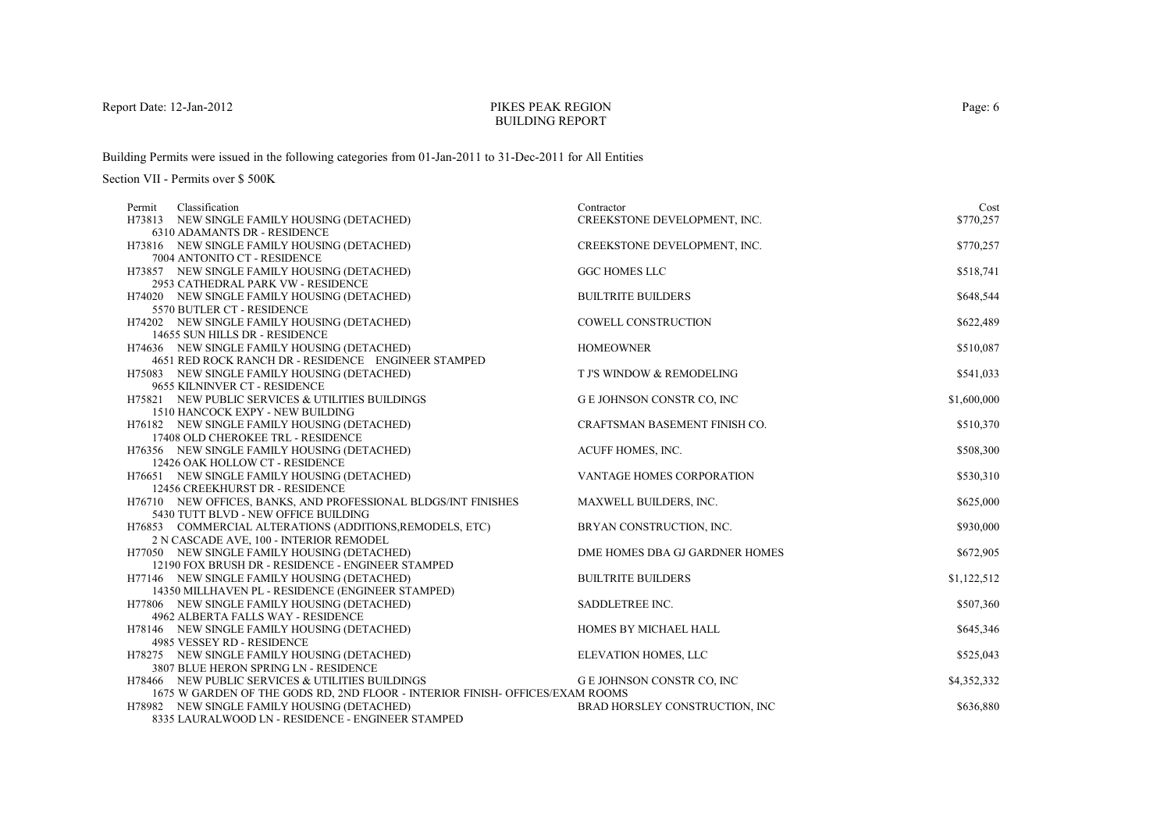## PIKES PEAK REGIONBUILDING REPORT

Building Permits were issued in the following categories from 01-Jan-2011 to 31-Dec-2011 for All Entities

| Permit Classification                                                                     | Contractor                       | Cost        |
|-------------------------------------------------------------------------------------------|----------------------------------|-------------|
| H73813 NEW SINGLE FAMILY HOUSING (DETACHED)                                               | CREEKSTONE DEVELOPMENT, INC.     | \$770,257   |
| 6310 ADAMANTS DR - RESIDENCE                                                              |                                  |             |
| H73816 NEW SINGLE FAMILY HOUSING (DETACHED)                                               | CREEKSTONE DEVELOPMENT, INC.     | \$770,257   |
| 7004 ANTONITO CT - RESIDENCE                                                              |                                  |             |
| H73857 NEW SINGLE FAMILY HOUSING (DETACHED)                                               | <b>GGC HOMES LLC</b>             | \$518,741   |
| 2953 CATHEDRAL PARK VW - RESIDENCE                                                        |                                  |             |
| H74020 NEW SINGLE FAMILY HOUSING (DETACHED)                                               | <b>BUILTRITE BUILDERS</b>        | \$648,544   |
| 5570 BUTLER CT - RESIDENCE                                                                |                                  |             |
| H74202 NEW SINGLE FAMILY HOUSING (DETACHED)                                               | <b>COWELL CONSTRUCTION</b>       | \$622,489   |
| 14655 SUN HILLS DR - RESIDENCE<br>H74636 NEW SINGLE FAMILY HOUSING (DETACHED)             | <b>HOMEOWNER</b>                 | \$510,087   |
| 4651 RED ROCK RANCH DR - RESIDENCE ENGINEER STAMPED                                       |                                  |             |
| H75083 NEW SINGLE FAMILY HOUSING (DETACHED)                                               | T J'S WINDOW & REMODELING        | \$541,033   |
| 9655 KILNINVER CT - RESIDENCE                                                             |                                  |             |
| H75821 NEW PUBLIC SERVICES & UTILITIES BUILDINGS                                          | <b>GE JOHNSON CONSTR CO, INC</b> | \$1,600,000 |
| 1510 HANCOCK EXPY - NEW BUILDING                                                          |                                  |             |
| H76182 NEW SINGLE FAMILY HOUSING (DETACHED)                                               | CRAFTSMAN BASEMENT FINISH CO.    | \$510,370   |
| 17408 OLD CHEROKEE TRL - RESIDENCE                                                        |                                  |             |
| H76356 NEW SINGLE FAMILY HOUSING (DETACHED)                                               | ACUFF HOMES, INC.                | \$508,300   |
| 12426 OAK HOLLOW CT - RESIDENCE                                                           |                                  |             |
| H76651 NEW SINGLE FAMILY HOUSING (DETACHED)                                               | VANTAGE HOMES CORPORATION        | \$530,310   |
| 12456 CREEKHURST DR - RESIDENCE                                                           |                                  |             |
| H76710 NEW OFFICES, BANKS, AND PROFESSIONAL BLDGS/INT FINISHES                            | MAXWELL BUILDERS, INC.           | \$625,000   |
| 5430 TUTT BLVD - NEW OFFICE BUILDING                                                      |                                  |             |
| H76853 COMMERCIAL ALTERATIONS (ADDITIONS, REMODELS, ETC)                                  | BRYAN CONSTRUCTION, INC.         | \$930,000   |
| 2 N CASCADE AVE, 100 - INTERIOR REMODEL                                                   |                                  |             |
| H77050 NEW SINGLE FAMILY HOUSING (DETACHED)                                               | DME HOMES DBA GJ GARDNER HOMES   | \$672,905   |
| 12190 FOX BRUSH DR - RESIDENCE - ENGINEER STAMPED                                         |                                  |             |
| H77146 NEW SINGLE FAMILY HOUSING (DETACHED)                                               | <b>BUILTRITE BUILDERS</b>        | \$1,122,512 |
| 14350 MILLHAVEN PL - RESIDENCE (ENGINEER STAMPED)                                         |                                  |             |
| H77806 NEW SINGLE FAMILY HOUSING (DETACHED)                                               | SADDLETREE INC.                  | \$507,360   |
| 4962 ALBERTA FALLS WAY - RESIDENCE                                                        |                                  |             |
| H78146 NEW SINGLE FAMILY HOUSING (DETACHED)                                               | HOMES BY MICHAEL HALL            | \$645,346   |
| 4985 VESSEY RD - RESIDENCE                                                                |                                  |             |
| H78275 NEW SINGLE FAMILY HOUSING (DETACHED)                                               | ELEVATION HOMES, LLC             | \$525,043   |
| 3807 BLUE HERON SPRING LN - RESIDENCE<br>H78466 NEW PUBLIC SERVICES & UTILITIES BUILDINGS | G E JOHNSON CONSTR CO, INC       |             |
| 1675 W GARDEN OF THE GODS RD. 2ND FLOOR - INTERIOR FINISH- OFFICES/EXAM ROOMS             |                                  | \$4,352,332 |
| H78982 NEW SINGLE FAMILY HOUSING (DETACHED)                                               | BRAD HORSLEY CONSTRUCTION, INC   | \$636,880   |
| 8335 LAURALWOOD LN - RESIDENCE - ENGINEER STAMPED                                         |                                  |             |
|                                                                                           |                                  |             |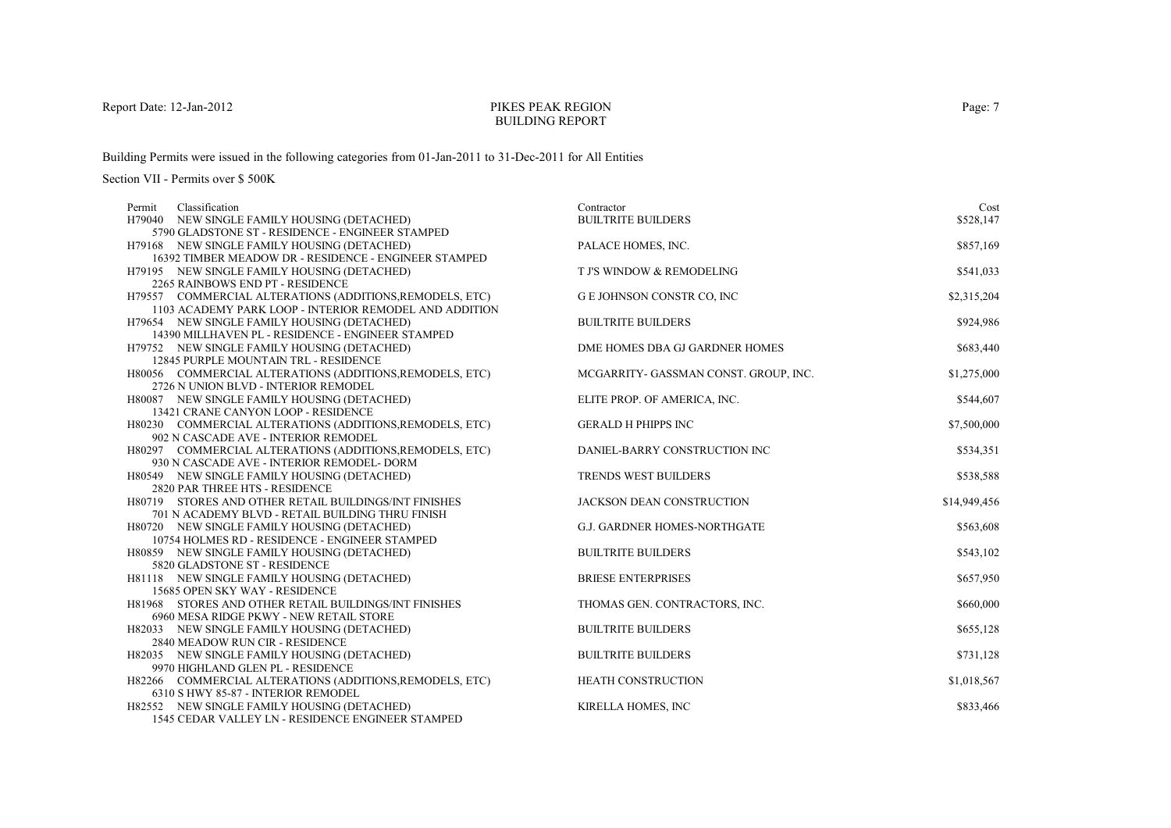## PIKES PEAK REGIONBUILDING REPORT

Building Permits were issued in the following categories from 01-Jan-2011 to 31-Dec-2011 for All Entities

| Classification<br>Permit                                                                         | Contractor                            | Cost         |
|--------------------------------------------------------------------------------------------------|---------------------------------------|--------------|
| H79040 NEW SINGLE FAMILY HOUSING (DETACHED)                                                      | <b>BUILTRITE BUILDERS</b>             | \$528,147    |
| 5790 GLADSTONE ST - RESIDENCE - ENGINEER STAMPED                                                 |                                       |              |
| H79168 NEW SINGLE FAMILY HOUSING (DETACHED)                                                      | PALACE HOMES, INC.                    | \$857,169    |
| 16392 TIMBER MEADOW DR - RESIDENCE - ENGINEER STAMPED                                            |                                       |              |
| H79195 NEW SINGLE FAMILY HOUSING (DETACHED)                                                      | T J'S WINDOW & REMODELING             | \$541,033    |
| 2265 RAINBOWS END PT - RESIDENCE                                                                 |                                       |              |
| H79557 COMMERCIAL ALTERATIONS (ADDITIONS, REMODELS, ETC)                                         | <b>GE JOHNSON CONSTR CO, INC</b>      | \$2,315,204  |
| 1103 ACADEMY PARK LOOP - INTERIOR REMODEL AND ADDITION                                           |                                       |              |
| H79654 NEW SINGLE FAMILY HOUSING (DETACHED)                                                      | <b>BUILTRITE BUILDERS</b>             | \$924,986    |
| 14390 MILLHAVEN PL - RESIDENCE - ENGINEER STAMPED                                                |                                       |              |
| H79752 NEW SINGLE FAMILY HOUSING (DETACHED)                                                      | DME HOMES DBA GJ GARDNER HOMES        | \$683,440    |
| 12845 PURPLE MOUNTAIN TRL - RESIDENCE                                                            |                                       |              |
| H80056 COMMERCIAL ALTERATIONS (ADDITIONS, REMODELS, ETC)                                         | MCGARRITY- GASSMAN CONST. GROUP, INC. | \$1,275,000  |
| 2726 N UNION BLVD - INTERIOR REMODEL                                                             |                                       |              |
| H80087 NEW SINGLE FAMILY HOUSING (DETACHED)                                                      | ELITE PROP. OF AMERICA, INC.          | \$544,607    |
| 13421 CRANE CANYON LOOP - RESIDENCE                                                              |                                       |              |
| H80230 COMMERCIAL ALTERATIONS (ADDITIONS, REMODELS, ETC)<br>902 N CASCADE AVE - INTERIOR REMODEL | <b>GERALD H PHIPPS INC</b>            | \$7,500,000  |
| H80297 COMMERCIAL ALTERATIONS (ADDITIONS, REMODELS, ETC)                                         | DANIEL-BARRY CONSTRUCTION INC         | \$534,351    |
| 930 N CASCADE AVE - INTERIOR REMODEL- DORM                                                       |                                       |              |
| H80549 NEW SINGLE FAMILY HOUSING (DETACHED)                                                      | <b>TRENDS WEST BUILDERS</b>           | \$538,588    |
| 2820 PAR THREE HTS - RESIDENCE                                                                   |                                       |              |
| H80719 STORES AND OTHER RETAIL BUILDINGS/INT FINISHES                                            | JACKSON DEAN CONSTRUCTION             | \$14,949,456 |
| 701 N ACADEMY BLVD - RETAIL BUILDING THRU FINISH                                                 |                                       |              |
| H80720 NEW SINGLE FAMILY HOUSING (DETACHED)                                                      | <b>G.J. GARDNER HOMES-NORTHGATE</b>   | \$563,608    |
| 10754 HOLMES RD - RESIDENCE - ENGINEER STAMPED                                                   |                                       |              |
| H80859 NEW SINGLE FAMILY HOUSING (DETACHED)                                                      | <b>BUILTRITE BUILDERS</b>             | \$543,102    |
| 5820 GLADSTONE ST - RESIDENCE                                                                    |                                       |              |
| H81118 NEW SINGLE FAMILY HOUSING (DETACHED)                                                      | <b>BRIESE ENTERPRISES</b>             | \$657,950    |
| 15685 OPEN SKY WAY - RESIDENCE                                                                   |                                       |              |
| H81968 STORES AND OTHER RETAIL BUILDINGS/INT FINISHES                                            | THOMAS GEN. CONTRACTORS, INC.         | \$660,000    |
| 6960 MESA RIDGE PKWY - NEW RETAIL STORE                                                          |                                       |              |
| H82033 NEW SINGLE FAMILY HOUSING (DETACHED)                                                      | <b>BUILTRITE BUILDERS</b>             | \$655,128    |
| 2840 MEADOW RUN CIR - RESIDENCE                                                                  |                                       |              |
| H82035 NEW SINGLE FAMILY HOUSING (DETACHED)                                                      | <b>BUILTRITE BUILDERS</b>             | \$731,128    |
| 9970 HIGHLAND GLEN PL - RESIDENCE                                                                |                                       |              |
| H82266 COMMERCIAL ALTERATIONS (ADDITIONS, REMODELS, ETC)                                         | HEATH CONSTRUCTION                    | \$1,018,567  |
| 6310 S HWY 85-87 - INTERIOR REMODEL                                                              |                                       |              |
| H82552 NEW SINGLE FAMILY HOUSING (DETACHED)                                                      | KIRELLA HOMES, INC                    | \$833,466    |
| 1545 CEDAR VALLEY LN - RESIDENCE ENGINEER STAMPED                                                |                                       |              |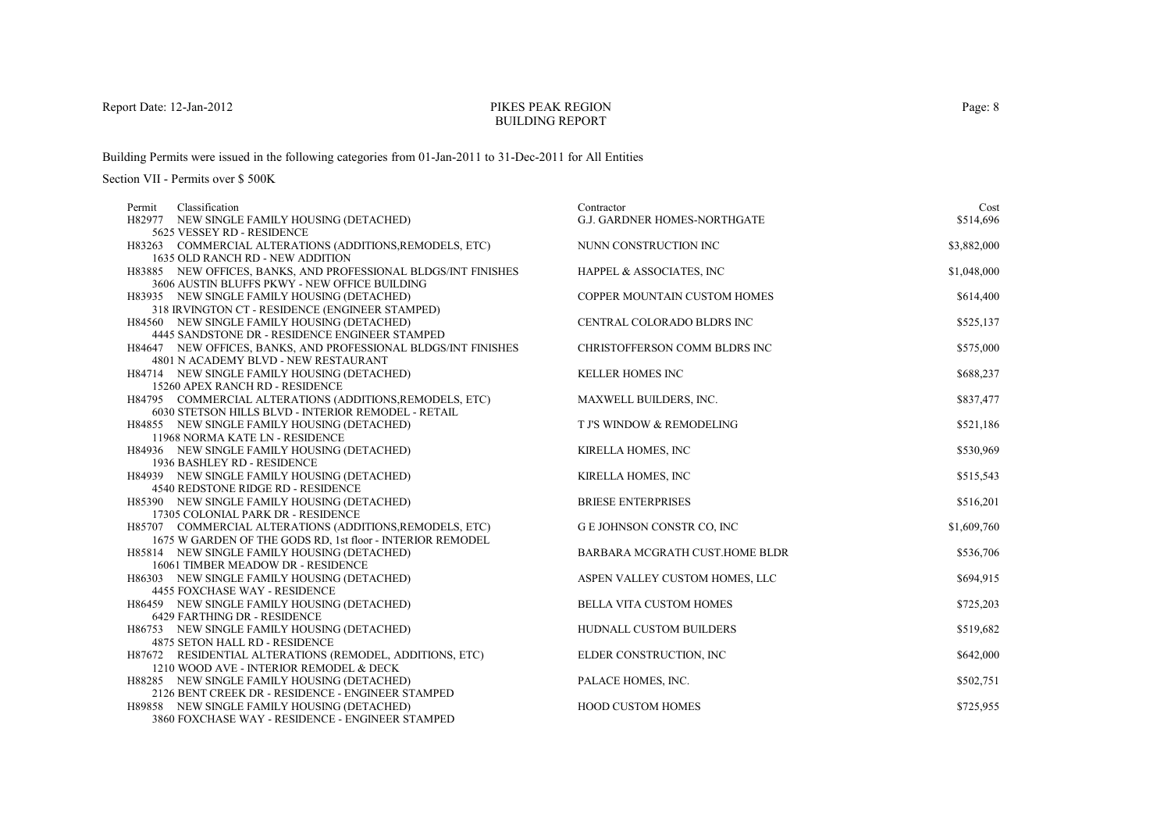## PIKES PEAK REGIONBUILDING REPORT

Building Permits were issued in the following categories from 01-Jan-2011 to 31-Dec-2011 for All Entities

| Classification<br>Permit                                                       | Contractor                          | Cost        |
|--------------------------------------------------------------------------------|-------------------------------------|-------------|
| H82977 NEW SINGLE FAMILY HOUSING (DETACHED)                                    | <b>G.J. GARDNER HOMES-NORTHGATE</b> | \$514,696   |
| 5625 VESSEY RD - RESIDENCE                                                     |                                     |             |
| H83263 COMMERCIAL ALTERATIONS (ADDITIONS, REMODELS, ETC)                       | NUNN CONSTRUCTION INC               | \$3,882,000 |
| 1635 OLD RANCH RD - NEW ADDITION                                               |                                     |             |
| H83885 NEW OFFICES, BANKS, AND PROFESSIONAL BLDGS/INT FINISHES                 | HAPPEL & ASSOCIATES, INC            | \$1,048,000 |
| 3606 AUSTIN BLUFFS PKWY - NEW OFFICE BUILDING                                  |                                     |             |
| H83935 NEW SINGLE FAMILY HOUSING (DETACHED)                                    | COPPER MOUNTAIN CUSTOM HOMES        | \$614,400   |
| 318 IRVINGTON CT - RESIDENCE (ENGINEER STAMPED)                                |                                     |             |
| H84560 NEW SINGLE FAMILY HOUSING (DETACHED)                                    | CENTRAL COLORADO BLDRS INC          | \$525,137   |
| 4445 SANDSTONE DR - RESIDENCE ENGINEER STAMPED                                 |                                     |             |
| H84647 NEW OFFICES, BANKS, AND PROFESSIONAL BLDGS/INT FINISHES                 | CHRISTOFFERSON COMM BLDRS INC       | \$575,000   |
| 4801 N ACADEMY BLVD - NEW RESTAURANT                                           |                                     |             |
| H84714 NEW SINGLE FAMILY HOUSING (DETACHED)                                    | <b>KELLER HOMES INC</b>             | \$688,237   |
| 15260 APEX RANCH RD - RESIDENCE                                                |                                     |             |
| H84795 COMMERCIAL ALTERATIONS (ADDITIONS, REMODELS, ETC)                       | MAXWELL BUILDERS, INC.              | \$837,477   |
| 6030 STETSON HILLS BLVD - INTERIOR REMODEL - RETAIL                            |                                     |             |
| H84855 NEW SINGLE FAMILY HOUSING (DETACHED)<br>11968 NORMA KATE LN - RESIDENCE | T J'S WINDOW & REMODELING           | \$521,186   |
| H84936 NEW SINGLE FAMILY HOUSING (DETACHED)                                    | KIRELLA HOMES, INC                  | \$530,969   |
| 1936 BASHLEY RD - RESIDENCE                                                    |                                     |             |
| H84939 NEW SINGLE FAMILY HOUSING (DETACHED)                                    | KIRELLA HOMES, INC                  | \$515,543   |
| 4540 REDSTONE RIDGE RD - RESIDENCE                                             |                                     |             |
| H85390 NEW SINGLE FAMILY HOUSING (DETACHED)                                    | <b>BRIESE ENTERPRISES</b>           | \$516,201   |
| 17305 COLONIAL PARK DR - RESIDENCE                                             |                                     |             |
| H85707 COMMERCIAL ALTERATIONS (ADDITIONS, REMODELS, ETC)                       | <b>GE JOHNSON CONSTR CO, INC</b>    | \$1,609,760 |
| 1675 W GARDEN OF THE GODS RD, 1st floor - INTERIOR REMODEL                     |                                     |             |
| H85814 NEW SINGLE FAMILY HOUSING (DETACHED)                                    | BARBARA MCGRATH CUST.HOME BLDR      | \$536,706   |
| 16061 TIMBER MEADOW DR - RESIDENCE                                             |                                     |             |
| H86303 NEW SINGLE FAMILY HOUSING (DETACHED)                                    | ASPEN VALLEY CUSTOM HOMES, LLC      | \$694,915   |
| 4455 FOXCHASE WAY - RESIDENCE                                                  |                                     |             |
| H86459 NEW SINGLE FAMILY HOUSING (DETACHED)                                    | <b>BELLA VITA CUSTOM HOMES</b>      | \$725,203   |
| 6429 FARTHING DR - RESIDENCE                                                   |                                     |             |
| H86753 NEW SINGLE FAMILY HOUSING (DETACHED)                                    | <b>HUDNALL CUSTOM BUILDERS</b>      | \$519,682   |
| 4875 SETON HALL RD - RESIDENCE                                                 |                                     |             |
| H87672 RESIDENTIAL ALTERATIONS (REMODEL, ADDITIONS, ETC)                       | ELDER CONSTRUCTION, INC             | \$642,000   |
| 1210 WOOD AVE - INTERIOR REMODEL & DECK                                        |                                     |             |
| H88285 NEW SINGLE FAMILY HOUSING (DETACHED)                                    | PALACE HOMES, INC.                  | \$502,751   |
| 2126 BENT CREEK DR - RESIDENCE - ENGINEER STAMPED                              |                                     |             |
| H89858 NEW SINGLE FAMILY HOUSING (DETACHED)                                    | <b>HOOD CUSTOM HOMES</b>            | \$725,955   |
| 3860 FOXCHASE WAY - RESIDENCE - ENGINEER STAMPED                               |                                     |             |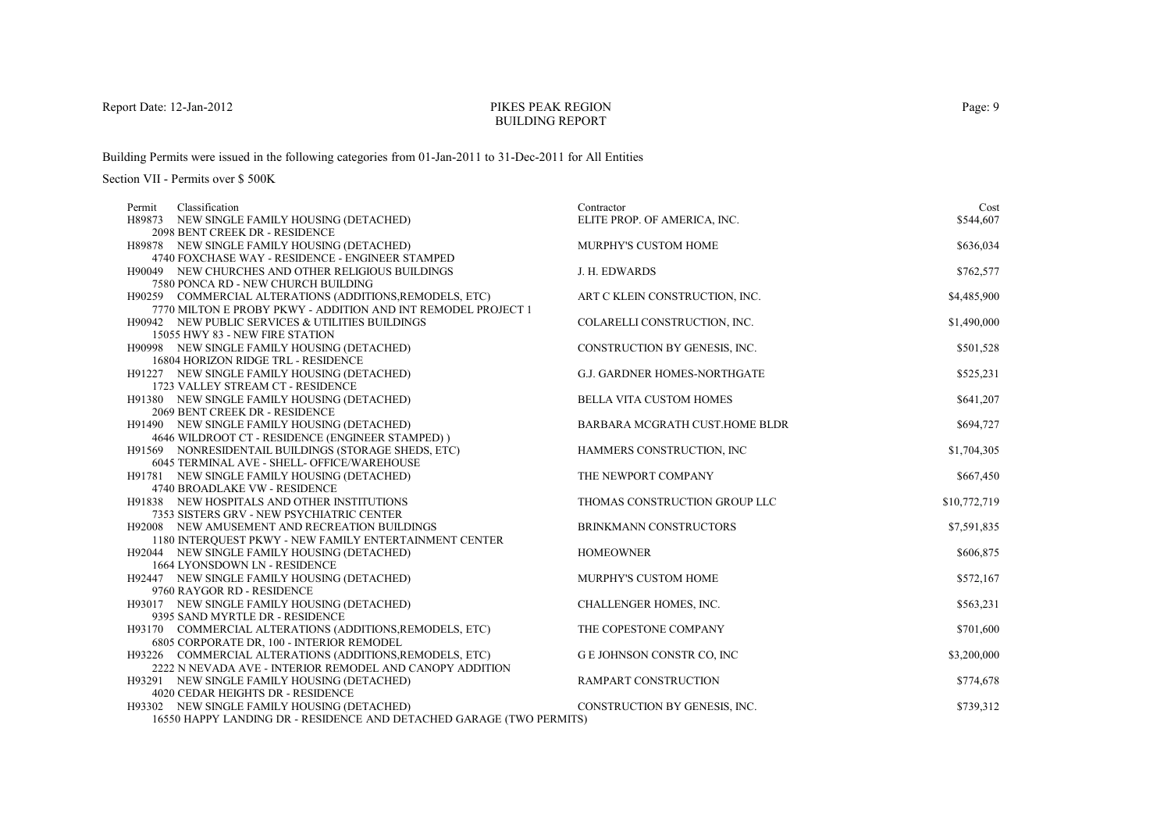## PIKES PEAK REGIONBUILDING REPORT

Building Permits were issued in the following categories from 01-Jan-2011 to 31-Dec-2011 for All Entities

| Classification<br>Permit                                             | Contractor                       | Cost         |
|----------------------------------------------------------------------|----------------------------------|--------------|
| H89873 NEW SINGLE FAMILY HOUSING (DETACHED)                          | ELITE PROP. OF AMERICA, INC.     | \$544,607    |
| 2098 BENT CREEK DR - RESIDENCE                                       |                                  |              |
| H89878 NEW SINGLE FAMILY HOUSING (DETACHED)                          | <b>MURPHY'S CUSTOM HOME</b>      | \$636,034    |
| 4740 FOXCHASE WAY - RESIDENCE - ENGINEER STAMPED                     |                                  |              |
| H90049 NEW CHURCHES AND OTHER RELIGIOUS BUILDINGS                    | J. H. EDWARDS                    | \$762,577    |
| 7580 PONCA RD - NEW CHURCH BUILDING                                  |                                  |              |
| H90259 COMMERCIAL ALTERATIONS (ADDITIONS, REMODELS, ETC)             | ART C KLEIN CONSTRUCTION, INC.   | \$4,485,900  |
| 7770 MILTON E PROBY PKWY - ADDITION AND INT REMODEL PROJECT 1        |                                  |              |
| H90942 NEW PUBLIC SERVICES & UTILITIES BUILDINGS                     | COLARELLI CONSTRUCTION, INC.     | \$1,490,000  |
| 15055 HWY 83 - NEW FIRE STATION                                      |                                  |              |
| H90998 NEW SINGLE FAMILY HOUSING (DETACHED)                          | CONSTRUCTION BY GENESIS, INC.    | \$501,528    |
| 16804 HORIZON RIDGE TRL - RESIDENCE                                  |                                  |              |
| H91227 NEW SINGLE FAMILY HOUSING (DETACHED)                          | G.J. GARDNER HOMES-NORTHGATE     | \$525,231    |
| 1723 VALLEY STREAM CT - RESIDENCE                                    |                                  |              |
| H91380 NEW SINGLE FAMILY HOUSING (DETACHED)                          | <b>BELLA VITA CUSTOM HOMES</b>   | \$641,207    |
| 2069 BENT CREEK DR - RESIDENCE                                       |                                  |              |
| H91490 NEW SINGLE FAMILY HOUSING (DETACHED)                          | BARBARA MCGRATH CUST.HOME BLDR   | \$694,727    |
| 4646 WILDROOT CT - RESIDENCE (ENGINEER STAMPED))                     |                                  |              |
| H91569 NONRESIDENTAIL BUILDINGS (STORAGE SHEDS, ETC)                 | HAMMERS CONSTRUCTION, INC.       | \$1,704,305  |
| 6045 TERMINAL AVE - SHELL- OFFICE/WAREHOUSE                          |                                  |              |
| H91781 NEW SINGLE FAMILY HOUSING (DETACHED)                          | THE NEWPORT COMPANY              | \$667,450    |
| 4740 BROADLAKE VW - RESIDENCE                                        |                                  |              |
| <b>H91838 NEW HOSPITALS AND OTHER INSTITUTIONS</b>                   | THOMAS CONSTRUCTION GROUP LLC    | \$10,772,719 |
| 7353 SISTERS GRV - NEW PSYCHIATRIC CENTER                            |                                  |              |
| H92008 NEW AMUSEMENT AND RECREATION BUILDINGS                        | BRINKMANN CONSTRUCTORS           | \$7,591,835  |
| 1180 INTERQUEST PKWY - NEW FAMILY ENTERTAINMENT CENTER               |                                  |              |
| H92044 NEW SINGLE FAMILY HOUSING (DETACHED)                          | <b>HOMEOWNER</b>                 | \$606,875    |
| 1664 LYONSDOWN LN - RESIDENCE                                        |                                  |              |
| H92447 NEW SINGLE FAMILY HOUSING (DETACHED)                          | MURPHY'S CUSTOM HOME             | \$572,167    |
| 9760 RAYGOR RD - RESIDENCE                                           |                                  |              |
| H93017 NEW SINGLE FAMILY HOUSING (DETACHED)                          | CHALLENGER HOMES, INC.           | \$563,231    |
| 9395 SAND MYRTLE DR - RESIDENCE                                      |                                  |              |
| H93170 COMMERCIAL ALTERATIONS (ADDITIONS, REMODELS, ETC)             | THE COPESTONE COMPANY            | \$701,600    |
| 6805 CORPORATE DR, 100 - INTERIOR REMODEL                            |                                  |              |
| H93226 COMMERCIAL ALTERATIONS (ADDITIONS, REMODELS, ETC)             | <b>GE JOHNSON CONSTR CO, INC</b> | \$3,200,000  |
| 2222 N NEVADA AVE - INTERIOR REMODEL AND CANOPY ADDITION             |                                  |              |
| H93291 NEW SINGLE FAMILY HOUSING (DETACHED)                          | <b>RAMPART CONSTRUCTION</b>      | \$774,678    |
| 4020 CEDAR HEIGHTS DR - RESIDENCE                                    |                                  |              |
| H93302 NEW SINGLE FAMILY HOUSING (DETACHED)                          | CONSTRUCTION BY GENESIS, INC.    | \$739,312    |
| 16550 HAPPY LANDING DR - RESIDENCE AND DETACHED GARAGE (TWO PERMITS) |                                  |              |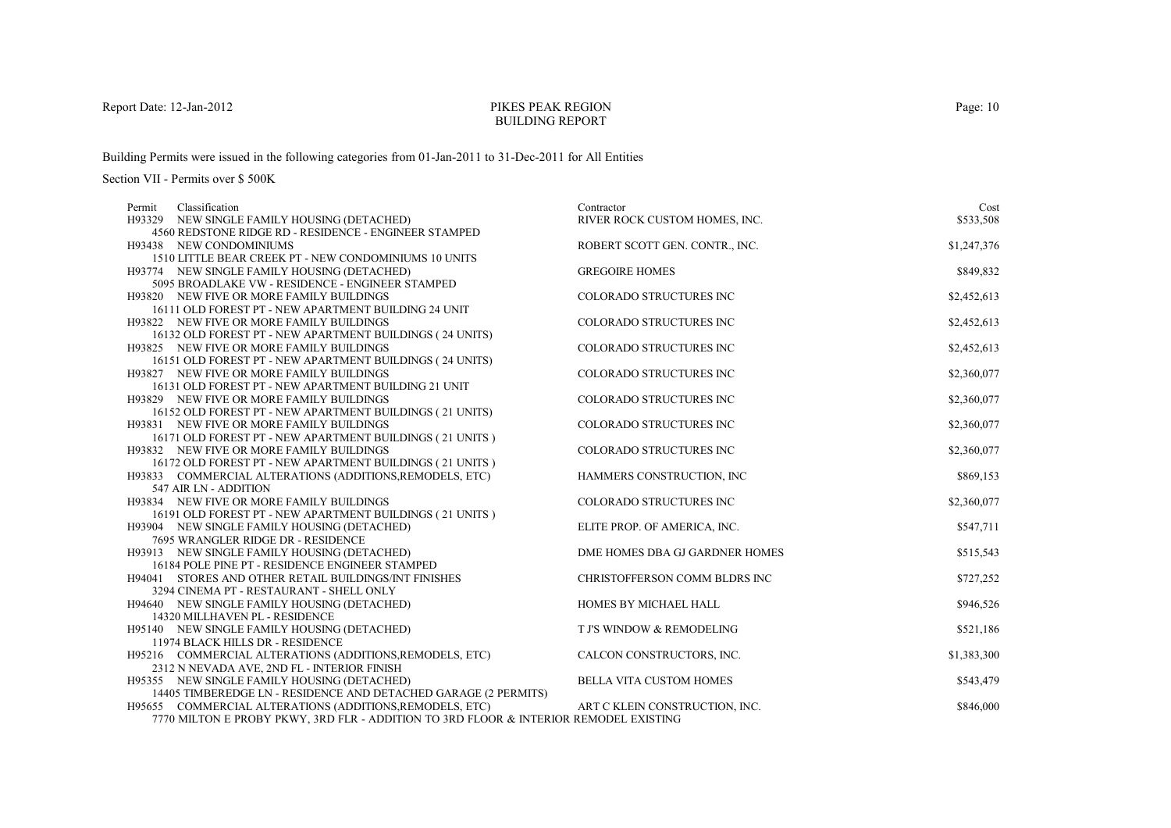## PIKES PEAK REGIONBUILDING REPORT

Building Permits were issued in the following categories from 01-Jan-2011 to 31-Dec-2011 for All Entities

| H93329 NEW SINGLE FAMILY HOUSING (DETACHED)<br>RIVER ROCK CUSTOM HOMES, INC.<br>\$533,508<br>4560 REDSTONE RIDGE RD - RESIDENCE - ENGINEER STAMPED<br>ROBERT SCOTT GEN. CONTR., INC.<br>\$1,247,376<br>H93438 NEW CONDOMINIUMS<br>1510 LITTLE BEAR CREEK PT - NEW CONDOMINIUMS 10 UNITS<br><b>GREGOIRE HOMES</b><br>\$849,832<br>H93774 NEW SINGLE FAMILY HOUSING (DETACHED)<br>5095 BROADLAKE VW - RESIDENCE - ENGINEER STAMPED<br>\$2,452,613<br>COLORADO STRUCTURES INC<br><b>H93820 NEW FIVE OR MORE FAMILY BUILDINGS</b><br>16111 OLD FOREST PT - NEW APARTMENT BUILDING 24 UNIT<br>\$2,452,613<br>H93822 NEW FIVE OR MORE FAMILY BUILDINGS<br><b>COLORADO STRUCTURES INC</b><br>16132 OLD FOREST PT - NEW APARTMENT BUILDINGS (24 UNITS)<br>COLORADO STRUCTURES INC<br>\$2,452,613<br>H93825 NEW FIVE OR MORE FAMILY BUILDINGS<br>16151 OLD FOREST PT - NEW APARTMENT BUILDINGS (24 UNITS)<br>COLORADO STRUCTURES INC<br>\$2,360,077<br>H93827 NEW FIVE OR MORE FAMILY BUILDINGS<br>16131 OLD FOREST PT - NEW APARTMENT BUILDING 21 UNIT<br>H93829 NEW FIVE OR MORE FAMILY BUILDINGS<br>COLORADO STRUCTURES INC<br>\$2,360,077<br>16152 OLD FOREST PT - NEW APARTMENT BUILDINGS (21 UNITS)<br>COLORADO STRUCTURES INC<br>\$2,360,077<br><b>H93831 NEW FIVE OR MORE FAMILY BUILDINGS</b><br>16171 OLD FOREST PT - NEW APARTMENT BUILDINGS (21 UNITS)<br>COLORADO STRUCTURES INC<br>\$2,360,077<br><b>H93832 NEW FIVE OR MORE FAMILY BUILDINGS</b><br>16172 OLD FOREST PT - NEW APARTMENT BUILDINGS (21 UNITS)<br>HAMMERS CONSTRUCTION, INC<br>\$869,153<br>H93833 COMMERCIAL ALTERATIONS (ADDITIONS, REMODELS, ETC)<br>547 AIR LN - ADDITION<br>H93834 NEW FIVE OR MORE FAMILY BUILDINGS<br><b>COLORADO STRUCTURES INC</b><br>\$2,360,077<br>16191 OLD FOREST PT - NEW APARTMENT BUILDINGS (21 UNITS)<br>ELITE PROP. OF AMERICA, INC.<br>\$547,711<br>H93904 NEW SINGLE FAMILY HOUSING (DETACHED)<br>7695 WRANGLER RIDGE DR - RESIDENCE<br>H93913 NEW SINGLE FAMILY HOUSING (DETACHED)<br>DME HOMES DBA GJ GARDNER HOMES<br>\$515,543<br>16184 POLE PINE PT - RESIDENCE ENGINEER STAMPED<br>\$727,252<br>H94041 STORES AND OTHER RETAIL BUILDINGS/INT FINISHES<br>CHRISTOFFERSON COMM BLDRS INC<br>3294 CINEMA PT - RESTAURANT - SHELL ONLY<br>HOMES BY MICHAEL HALL<br>\$946,526<br>H94640 NEW SINGLE FAMILY HOUSING (DETACHED)<br>14320 MILLHAVEN PL - RESIDENCE<br>T J'S WINDOW & REMODELING<br>\$521,186<br>H95140 NEW SINGLE FAMILY HOUSING (DETACHED)<br>11974 BLACK HILLS DR - RESIDENCE<br>CALCON CONSTRUCTORS, INC.<br>\$1,383,300<br>H95216 COMMERCIAL ALTERATIONS (ADDITIONS, REMODELS, ETC)<br>2312 N NEVADA AVE, 2ND FL - INTERIOR FINISH<br>H95355 NEW SINGLE FAMILY HOUSING (DETACHED)<br><b>BELLA VITA CUSTOM HOMES</b><br>\$543,479<br>14405 TIMBEREDGE LN - RESIDENCE AND DETACHED GARAGE (2 PERMITS)<br>H95655 COMMERCIAL ALTERATIONS (ADDITIONS, REMODELS, ETC)<br>ART C KLEIN CONSTRUCTION, INC.<br>\$846,000 | Classification<br>Permit                                                              | Contractor | Cost |
|-----------------------------------------------------------------------------------------------------------------------------------------------------------------------------------------------------------------------------------------------------------------------------------------------------------------------------------------------------------------------------------------------------------------------------------------------------------------------------------------------------------------------------------------------------------------------------------------------------------------------------------------------------------------------------------------------------------------------------------------------------------------------------------------------------------------------------------------------------------------------------------------------------------------------------------------------------------------------------------------------------------------------------------------------------------------------------------------------------------------------------------------------------------------------------------------------------------------------------------------------------------------------------------------------------------------------------------------------------------------------------------------------------------------------------------------------------------------------------------------------------------------------------------------------------------------------------------------------------------------------------------------------------------------------------------------------------------------------------------------------------------------------------------------------------------------------------------------------------------------------------------------------------------------------------------------------------------------------------------------------------------------------------------------------------------------------------------------------------------------------------------------------------------------------------------------------------------------------------------------------------------------------------------------------------------------------------------------------------------------------------------------------------------------------------------------------------------------------------------------------------------------------------------------------------------------------------------------------------------------------------------------------------------------------------------------------------------------------------------------------------------------------------------------------------------------------------------------------------------------------------------------------------------------------------------------|---------------------------------------------------------------------------------------|------------|------|
|                                                                                                                                                                                                                                                                                                                                                                                                                                                                                                                                                                                                                                                                                                                                                                                                                                                                                                                                                                                                                                                                                                                                                                                                                                                                                                                                                                                                                                                                                                                                                                                                                                                                                                                                                                                                                                                                                                                                                                                                                                                                                                                                                                                                                                                                                                                                                                                                                                                                                                                                                                                                                                                                                                                                                                                                                                                                                                                                         |                                                                                       |            |      |
|                                                                                                                                                                                                                                                                                                                                                                                                                                                                                                                                                                                                                                                                                                                                                                                                                                                                                                                                                                                                                                                                                                                                                                                                                                                                                                                                                                                                                                                                                                                                                                                                                                                                                                                                                                                                                                                                                                                                                                                                                                                                                                                                                                                                                                                                                                                                                                                                                                                                                                                                                                                                                                                                                                                                                                                                                                                                                                                                         |                                                                                       |            |      |
|                                                                                                                                                                                                                                                                                                                                                                                                                                                                                                                                                                                                                                                                                                                                                                                                                                                                                                                                                                                                                                                                                                                                                                                                                                                                                                                                                                                                                                                                                                                                                                                                                                                                                                                                                                                                                                                                                                                                                                                                                                                                                                                                                                                                                                                                                                                                                                                                                                                                                                                                                                                                                                                                                                                                                                                                                                                                                                                                         |                                                                                       |            |      |
|                                                                                                                                                                                                                                                                                                                                                                                                                                                                                                                                                                                                                                                                                                                                                                                                                                                                                                                                                                                                                                                                                                                                                                                                                                                                                                                                                                                                                                                                                                                                                                                                                                                                                                                                                                                                                                                                                                                                                                                                                                                                                                                                                                                                                                                                                                                                                                                                                                                                                                                                                                                                                                                                                                                                                                                                                                                                                                                                         |                                                                                       |            |      |
|                                                                                                                                                                                                                                                                                                                                                                                                                                                                                                                                                                                                                                                                                                                                                                                                                                                                                                                                                                                                                                                                                                                                                                                                                                                                                                                                                                                                                                                                                                                                                                                                                                                                                                                                                                                                                                                                                                                                                                                                                                                                                                                                                                                                                                                                                                                                                                                                                                                                                                                                                                                                                                                                                                                                                                                                                                                                                                                                         |                                                                                       |            |      |
|                                                                                                                                                                                                                                                                                                                                                                                                                                                                                                                                                                                                                                                                                                                                                                                                                                                                                                                                                                                                                                                                                                                                                                                                                                                                                                                                                                                                                                                                                                                                                                                                                                                                                                                                                                                                                                                                                                                                                                                                                                                                                                                                                                                                                                                                                                                                                                                                                                                                                                                                                                                                                                                                                                                                                                                                                                                                                                                                         |                                                                                       |            |      |
|                                                                                                                                                                                                                                                                                                                                                                                                                                                                                                                                                                                                                                                                                                                                                                                                                                                                                                                                                                                                                                                                                                                                                                                                                                                                                                                                                                                                                                                                                                                                                                                                                                                                                                                                                                                                                                                                                                                                                                                                                                                                                                                                                                                                                                                                                                                                                                                                                                                                                                                                                                                                                                                                                                                                                                                                                                                                                                                                         |                                                                                       |            |      |
|                                                                                                                                                                                                                                                                                                                                                                                                                                                                                                                                                                                                                                                                                                                                                                                                                                                                                                                                                                                                                                                                                                                                                                                                                                                                                                                                                                                                                                                                                                                                                                                                                                                                                                                                                                                                                                                                                                                                                                                                                                                                                                                                                                                                                                                                                                                                                                                                                                                                                                                                                                                                                                                                                                                                                                                                                                                                                                                                         |                                                                                       |            |      |
|                                                                                                                                                                                                                                                                                                                                                                                                                                                                                                                                                                                                                                                                                                                                                                                                                                                                                                                                                                                                                                                                                                                                                                                                                                                                                                                                                                                                                                                                                                                                                                                                                                                                                                                                                                                                                                                                                                                                                                                                                                                                                                                                                                                                                                                                                                                                                                                                                                                                                                                                                                                                                                                                                                                                                                                                                                                                                                                                         |                                                                                       |            |      |
|                                                                                                                                                                                                                                                                                                                                                                                                                                                                                                                                                                                                                                                                                                                                                                                                                                                                                                                                                                                                                                                                                                                                                                                                                                                                                                                                                                                                                                                                                                                                                                                                                                                                                                                                                                                                                                                                                                                                                                                                                                                                                                                                                                                                                                                                                                                                                                                                                                                                                                                                                                                                                                                                                                                                                                                                                                                                                                                                         |                                                                                       |            |      |
|                                                                                                                                                                                                                                                                                                                                                                                                                                                                                                                                                                                                                                                                                                                                                                                                                                                                                                                                                                                                                                                                                                                                                                                                                                                                                                                                                                                                                                                                                                                                                                                                                                                                                                                                                                                                                                                                                                                                                                                                                                                                                                                                                                                                                                                                                                                                                                                                                                                                                                                                                                                                                                                                                                                                                                                                                                                                                                                                         |                                                                                       |            |      |
|                                                                                                                                                                                                                                                                                                                                                                                                                                                                                                                                                                                                                                                                                                                                                                                                                                                                                                                                                                                                                                                                                                                                                                                                                                                                                                                                                                                                                                                                                                                                                                                                                                                                                                                                                                                                                                                                                                                                                                                                                                                                                                                                                                                                                                                                                                                                                                                                                                                                                                                                                                                                                                                                                                                                                                                                                                                                                                                                         |                                                                                       |            |      |
|                                                                                                                                                                                                                                                                                                                                                                                                                                                                                                                                                                                                                                                                                                                                                                                                                                                                                                                                                                                                                                                                                                                                                                                                                                                                                                                                                                                                                                                                                                                                                                                                                                                                                                                                                                                                                                                                                                                                                                                                                                                                                                                                                                                                                                                                                                                                                                                                                                                                                                                                                                                                                                                                                                                                                                                                                                                                                                                                         |                                                                                       |            |      |
|                                                                                                                                                                                                                                                                                                                                                                                                                                                                                                                                                                                                                                                                                                                                                                                                                                                                                                                                                                                                                                                                                                                                                                                                                                                                                                                                                                                                                                                                                                                                                                                                                                                                                                                                                                                                                                                                                                                                                                                                                                                                                                                                                                                                                                                                                                                                                                                                                                                                                                                                                                                                                                                                                                                                                                                                                                                                                                                                         |                                                                                       |            |      |
|                                                                                                                                                                                                                                                                                                                                                                                                                                                                                                                                                                                                                                                                                                                                                                                                                                                                                                                                                                                                                                                                                                                                                                                                                                                                                                                                                                                                                                                                                                                                                                                                                                                                                                                                                                                                                                                                                                                                                                                                                                                                                                                                                                                                                                                                                                                                                                                                                                                                                                                                                                                                                                                                                                                                                                                                                                                                                                                                         |                                                                                       |            |      |
|                                                                                                                                                                                                                                                                                                                                                                                                                                                                                                                                                                                                                                                                                                                                                                                                                                                                                                                                                                                                                                                                                                                                                                                                                                                                                                                                                                                                                                                                                                                                                                                                                                                                                                                                                                                                                                                                                                                                                                                                                                                                                                                                                                                                                                                                                                                                                                                                                                                                                                                                                                                                                                                                                                                                                                                                                                                                                                                                         |                                                                                       |            |      |
|                                                                                                                                                                                                                                                                                                                                                                                                                                                                                                                                                                                                                                                                                                                                                                                                                                                                                                                                                                                                                                                                                                                                                                                                                                                                                                                                                                                                                                                                                                                                                                                                                                                                                                                                                                                                                                                                                                                                                                                                                                                                                                                                                                                                                                                                                                                                                                                                                                                                                                                                                                                                                                                                                                                                                                                                                                                                                                                                         |                                                                                       |            |      |
|                                                                                                                                                                                                                                                                                                                                                                                                                                                                                                                                                                                                                                                                                                                                                                                                                                                                                                                                                                                                                                                                                                                                                                                                                                                                                                                                                                                                                                                                                                                                                                                                                                                                                                                                                                                                                                                                                                                                                                                                                                                                                                                                                                                                                                                                                                                                                                                                                                                                                                                                                                                                                                                                                                                                                                                                                                                                                                                                         |                                                                                       |            |      |
|                                                                                                                                                                                                                                                                                                                                                                                                                                                                                                                                                                                                                                                                                                                                                                                                                                                                                                                                                                                                                                                                                                                                                                                                                                                                                                                                                                                                                                                                                                                                                                                                                                                                                                                                                                                                                                                                                                                                                                                                                                                                                                                                                                                                                                                                                                                                                                                                                                                                                                                                                                                                                                                                                                                                                                                                                                                                                                                                         |                                                                                       |            |      |
|                                                                                                                                                                                                                                                                                                                                                                                                                                                                                                                                                                                                                                                                                                                                                                                                                                                                                                                                                                                                                                                                                                                                                                                                                                                                                                                                                                                                                                                                                                                                                                                                                                                                                                                                                                                                                                                                                                                                                                                                                                                                                                                                                                                                                                                                                                                                                                                                                                                                                                                                                                                                                                                                                                                                                                                                                                                                                                                                         |                                                                                       |            |      |
|                                                                                                                                                                                                                                                                                                                                                                                                                                                                                                                                                                                                                                                                                                                                                                                                                                                                                                                                                                                                                                                                                                                                                                                                                                                                                                                                                                                                                                                                                                                                                                                                                                                                                                                                                                                                                                                                                                                                                                                                                                                                                                                                                                                                                                                                                                                                                                                                                                                                                                                                                                                                                                                                                                                                                                                                                                                                                                                                         |                                                                                       |            |      |
|                                                                                                                                                                                                                                                                                                                                                                                                                                                                                                                                                                                                                                                                                                                                                                                                                                                                                                                                                                                                                                                                                                                                                                                                                                                                                                                                                                                                                                                                                                                                                                                                                                                                                                                                                                                                                                                                                                                                                                                                                                                                                                                                                                                                                                                                                                                                                                                                                                                                                                                                                                                                                                                                                                                                                                                                                                                                                                                                         |                                                                                       |            |      |
|                                                                                                                                                                                                                                                                                                                                                                                                                                                                                                                                                                                                                                                                                                                                                                                                                                                                                                                                                                                                                                                                                                                                                                                                                                                                                                                                                                                                                                                                                                                                                                                                                                                                                                                                                                                                                                                                                                                                                                                                                                                                                                                                                                                                                                                                                                                                                                                                                                                                                                                                                                                                                                                                                                                                                                                                                                                                                                                                         |                                                                                       |            |      |
|                                                                                                                                                                                                                                                                                                                                                                                                                                                                                                                                                                                                                                                                                                                                                                                                                                                                                                                                                                                                                                                                                                                                                                                                                                                                                                                                                                                                                                                                                                                                                                                                                                                                                                                                                                                                                                                                                                                                                                                                                                                                                                                                                                                                                                                                                                                                                                                                                                                                                                                                                                                                                                                                                                                                                                                                                                                                                                                                         |                                                                                       |            |      |
|                                                                                                                                                                                                                                                                                                                                                                                                                                                                                                                                                                                                                                                                                                                                                                                                                                                                                                                                                                                                                                                                                                                                                                                                                                                                                                                                                                                                                                                                                                                                                                                                                                                                                                                                                                                                                                                                                                                                                                                                                                                                                                                                                                                                                                                                                                                                                                                                                                                                                                                                                                                                                                                                                                                                                                                                                                                                                                                                         |                                                                                       |            |      |
|                                                                                                                                                                                                                                                                                                                                                                                                                                                                                                                                                                                                                                                                                                                                                                                                                                                                                                                                                                                                                                                                                                                                                                                                                                                                                                                                                                                                                                                                                                                                                                                                                                                                                                                                                                                                                                                                                                                                                                                                                                                                                                                                                                                                                                                                                                                                                                                                                                                                                                                                                                                                                                                                                                                                                                                                                                                                                                                                         |                                                                                       |            |      |
|                                                                                                                                                                                                                                                                                                                                                                                                                                                                                                                                                                                                                                                                                                                                                                                                                                                                                                                                                                                                                                                                                                                                                                                                                                                                                                                                                                                                                                                                                                                                                                                                                                                                                                                                                                                                                                                                                                                                                                                                                                                                                                                                                                                                                                                                                                                                                                                                                                                                                                                                                                                                                                                                                                                                                                                                                                                                                                                                         |                                                                                       |            |      |
|                                                                                                                                                                                                                                                                                                                                                                                                                                                                                                                                                                                                                                                                                                                                                                                                                                                                                                                                                                                                                                                                                                                                                                                                                                                                                                                                                                                                                                                                                                                                                                                                                                                                                                                                                                                                                                                                                                                                                                                                                                                                                                                                                                                                                                                                                                                                                                                                                                                                                                                                                                                                                                                                                                                                                                                                                                                                                                                                         |                                                                                       |            |      |
|                                                                                                                                                                                                                                                                                                                                                                                                                                                                                                                                                                                                                                                                                                                                                                                                                                                                                                                                                                                                                                                                                                                                                                                                                                                                                                                                                                                                                                                                                                                                                                                                                                                                                                                                                                                                                                                                                                                                                                                                                                                                                                                                                                                                                                                                                                                                                                                                                                                                                                                                                                                                                                                                                                                                                                                                                                                                                                                                         |                                                                                       |            |      |
|                                                                                                                                                                                                                                                                                                                                                                                                                                                                                                                                                                                                                                                                                                                                                                                                                                                                                                                                                                                                                                                                                                                                                                                                                                                                                                                                                                                                                                                                                                                                                                                                                                                                                                                                                                                                                                                                                                                                                                                                                                                                                                                                                                                                                                                                                                                                                                                                                                                                                                                                                                                                                                                                                                                                                                                                                                                                                                                                         |                                                                                       |            |      |
|                                                                                                                                                                                                                                                                                                                                                                                                                                                                                                                                                                                                                                                                                                                                                                                                                                                                                                                                                                                                                                                                                                                                                                                                                                                                                                                                                                                                                                                                                                                                                                                                                                                                                                                                                                                                                                                                                                                                                                                                                                                                                                                                                                                                                                                                                                                                                                                                                                                                                                                                                                                                                                                                                                                                                                                                                                                                                                                                         |                                                                                       |            |      |
|                                                                                                                                                                                                                                                                                                                                                                                                                                                                                                                                                                                                                                                                                                                                                                                                                                                                                                                                                                                                                                                                                                                                                                                                                                                                                                                                                                                                                                                                                                                                                                                                                                                                                                                                                                                                                                                                                                                                                                                                                                                                                                                                                                                                                                                                                                                                                                                                                                                                                                                                                                                                                                                                                                                                                                                                                                                                                                                                         |                                                                                       |            |      |
|                                                                                                                                                                                                                                                                                                                                                                                                                                                                                                                                                                                                                                                                                                                                                                                                                                                                                                                                                                                                                                                                                                                                                                                                                                                                                                                                                                                                                                                                                                                                                                                                                                                                                                                                                                                                                                                                                                                                                                                                                                                                                                                                                                                                                                                                                                                                                                                                                                                                                                                                                                                                                                                                                                                                                                                                                                                                                                                                         |                                                                                       |            |      |
|                                                                                                                                                                                                                                                                                                                                                                                                                                                                                                                                                                                                                                                                                                                                                                                                                                                                                                                                                                                                                                                                                                                                                                                                                                                                                                                                                                                                                                                                                                                                                                                                                                                                                                                                                                                                                                                                                                                                                                                                                                                                                                                                                                                                                                                                                                                                                                                                                                                                                                                                                                                                                                                                                                                                                                                                                                                                                                                                         |                                                                                       |            |      |
|                                                                                                                                                                                                                                                                                                                                                                                                                                                                                                                                                                                                                                                                                                                                                                                                                                                                                                                                                                                                                                                                                                                                                                                                                                                                                                                                                                                                                                                                                                                                                                                                                                                                                                                                                                                                                                                                                                                                                                                                                                                                                                                                                                                                                                                                                                                                                                                                                                                                                                                                                                                                                                                                                                                                                                                                                                                                                                                                         |                                                                                       |            |      |
|                                                                                                                                                                                                                                                                                                                                                                                                                                                                                                                                                                                                                                                                                                                                                                                                                                                                                                                                                                                                                                                                                                                                                                                                                                                                                                                                                                                                                                                                                                                                                                                                                                                                                                                                                                                                                                                                                                                                                                                                                                                                                                                                                                                                                                                                                                                                                                                                                                                                                                                                                                                                                                                                                                                                                                                                                                                                                                                                         |                                                                                       |            |      |
|                                                                                                                                                                                                                                                                                                                                                                                                                                                                                                                                                                                                                                                                                                                                                                                                                                                                                                                                                                                                                                                                                                                                                                                                                                                                                                                                                                                                                                                                                                                                                                                                                                                                                                                                                                                                                                                                                                                                                                                                                                                                                                                                                                                                                                                                                                                                                                                                                                                                                                                                                                                                                                                                                                                                                                                                                                                                                                                                         |                                                                                       |            |      |
|                                                                                                                                                                                                                                                                                                                                                                                                                                                                                                                                                                                                                                                                                                                                                                                                                                                                                                                                                                                                                                                                                                                                                                                                                                                                                                                                                                                                                                                                                                                                                                                                                                                                                                                                                                                                                                                                                                                                                                                                                                                                                                                                                                                                                                                                                                                                                                                                                                                                                                                                                                                                                                                                                                                                                                                                                                                                                                                                         |                                                                                       |            |      |
|                                                                                                                                                                                                                                                                                                                                                                                                                                                                                                                                                                                                                                                                                                                                                                                                                                                                                                                                                                                                                                                                                                                                                                                                                                                                                                                                                                                                                                                                                                                                                                                                                                                                                                                                                                                                                                                                                                                                                                                                                                                                                                                                                                                                                                                                                                                                                                                                                                                                                                                                                                                                                                                                                                                                                                                                                                                                                                                                         | 7770 MILTON E PROBY PKWY, 3RD FLR - ADDITION TO 3RD FLOOR & INTERIOR REMODEL EXISTING |            |      |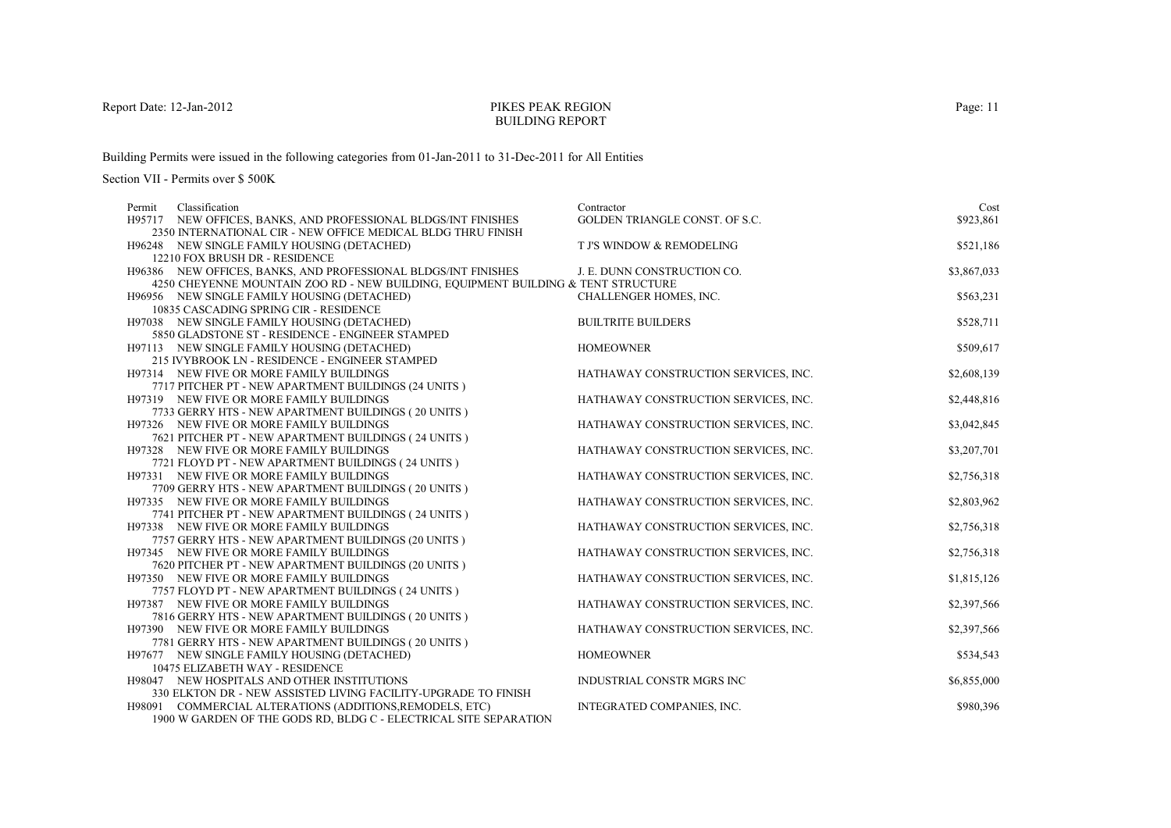#### PIKES PEAK REGIONBUILDING REPORT

Building Permits were issued in the following categories from 01-Jan-2011 to 31-Dec-2011 for All Entities

| Classification<br>Permit                                                          | Contractor                           | Cost        |
|-----------------------------------------------------------------------------------|--------------------------------------|-------------|
| H95717 NEW OFFICES, BANKS, AND PROFESSIONAL BLDGS/INT FINISHES                    | GOLDEN TRIANGLE CONST. OF S.C.       | \$923,861   |
| 2350 INTERNATIONAL CIR - NEW OFFICE MEDICAL BLDG THRU FINISH                      |                                      |             |
| H96248 NEW SINGLE FAMILY HOUSING (DETACHED)                                       | T J'S WINDOW & REMODELING            | \$521,186   |
| 12210 FOX BRUSH DR - RESIDENCE                                                    |                                      |             |
| H96386 NEW OFFICES, BANKS, AND PROFESSIONAL BLDGS/INT FINISHES                    | J. E. DUNN CONSTRUCTION CO.          | \$3,867,033 |
| 4250 CHEYENNE MOUNTAIN ZOO RD - NEW BUILDING, EQUIPMENT BUILDING & TENT STRUCTURE |                                      |             |
| H96956 NEW SINGLE FAMILY HOUSING (DETACHED)                                       | CHALLENGER HOMES, INC.               | \$563,231   |
| 10835 CASCADING SPRING CIR - RESIDENCE                                            |                                      |             |
| H97038 NEW SINGLE FAMILY HOUSING (DETACHED)                                       | <b>BUILTRITE BUILDERS</b>            | \$528,711   |
| 5850 GLADSTONE ST - RESIDENCE - ENGINEER STAMPED                                  |                                      |             |
| H97113 NEW SINGLE FAMILY HOUSING (DETACHED)                                       | <b>HOMEOWNER</b>                     | \$509,617   |
| 215 IVYBROOK LN - RESIDENCE - ENGINEER STAMPED                                    |                                      |             |
| H97314 NEW FIVE OR MORE FAMILY BUILDINGS                                          | HATHAWAY CONSTRUCTION SERVICES, INC. | \$2,608,139 |
| 7717 PITCHER PT - NEW APARTMENT BUILDINGS (24 UNITS)                              |                                      |             |
| H97319 NEW FIVE OR MORE FAMILY BUILDINGS                                          | HATHAWAY CONSTRUCTION SERVICES, INC. | \$2,448,816 |
| 7733 GERRY HTS - NEW APARTMENT BUILDINGS (20 UNITS)                               |                                      |             |
| H97326 NEW FIVE OR MORE FAMILY BUILDINGS                                          | HATHAWAY CONSTRUCTION SERVICES, INC. | \$3,042,845 |
| 7621 PITCHER PT - NEW APARTMENT BUILDINGS (24 UNITS)                              |                                      |             |
| H97328 NEW FIVE OR MORE FAMILY BUILDINGS                                          | HATHAWAY CONSTRUCTION SERVICES, INC. | \$3,207,701 |
| 7721 FLOYD PT - NEW APARTMENT BUILDINGS (24 UNITS)                                |                                      |             |
| H97331 NEW FIVE OR MORE FAMILY BUILDINGS                                          | HATHAWAY CONSTRUCTION SERVICES, INC. | \$2,756,318 |
| 7709 GERRY HTS - NEW APARTMENT BUILDINGS (20 UNITS)                               |                                      |             |
| H97335 NEW FIVE OR MORE FAMILY BUILDINGS                                          | HATHAWAY CONSTRUCTION SERVICES, INC. | \$2,803,962 |
| 7741 PITCHER PT - NEW APARTMENT BUILDINGS (24 UNITS)                              |                                      |             |
| H97338 NEW FIVE OR MORE FAMILY BUILDINGS                                          | HATHAWAY CONSTRUCTION SERVICES, INC. | \$2,756,318 |
| 7757 GERRY HTS - NEW APARTMENT BUILDINGS (20 UNITS)                               |                                      |             |
| H97345 NEW FIVE OR MORE FAMILY BUILDINGS                                          | HATHAWAY CONSTRUCTION SERVICES, INC. | \$2,756,318 |
| 7620 PITCHER PT - NEW APARTMENT BUILDINGS (20 UNITS)                              |                                      |             |
| H97350 NEW FIVE OR MORE FAMILY BUILDINGS                                          | HATHAWAY CONSTRUCTION SERVICES, INC. | \$1,815,126 |
| 7757 FLOYD PT - NEW APARTMENT BUILDINGS (24 UNITS)                                |                                      |             |
| H97387 NEW FIVE OR MORE FAMILY BUILDINGS                                          | HATHAWAY CONSTRUCTION SERVICES, INC. | \$2,397,566 |
| 7816 GERRY HTS - NEW APARTMENT BUILDINGS (20 UNITS)                               |                                      |             |
| H97390 NEW FIVE OR MORE FAMILY BUILDINGS                                          | HATHAWAY CONSTRUCTION SERVICES, INC. | \$2,397,566 |
| 7781 GERRY HTS - NEW APARTMENT BUILDINGS (20 UNITS)                               |                                      |             |
| H97677 NEW SINGLE FAMILY HOUSING (DETACHED)                                       | <b>HOMEOWNER</b>                     | \$534,543   |
| 10475 ELIZABETH WAY - RESIDENCE                                                   |                                      |             |
| H98047 NEW HOSPITALS AND OTHER INSTITUTIONS                                       | INDUSTRIAL CONSTR MGRS INC           | \$6,855,000 |
| 330 ELKTON DR - NEW ASSISTED LIVING FACILITY-UPGRADE TO FINISH                    |                                      |             |
| H98091 COMMERCIAL ALTERATIONS (ADDITIONS, REMODELS, ETC)                          | INTEGRATED COMPANIES, INC.           | \$980,396   |
| 1900 W GARDEN OF THE GODS RD, BLDG C - ELECTRICAL SITE SEPARATION                 |                                      |             |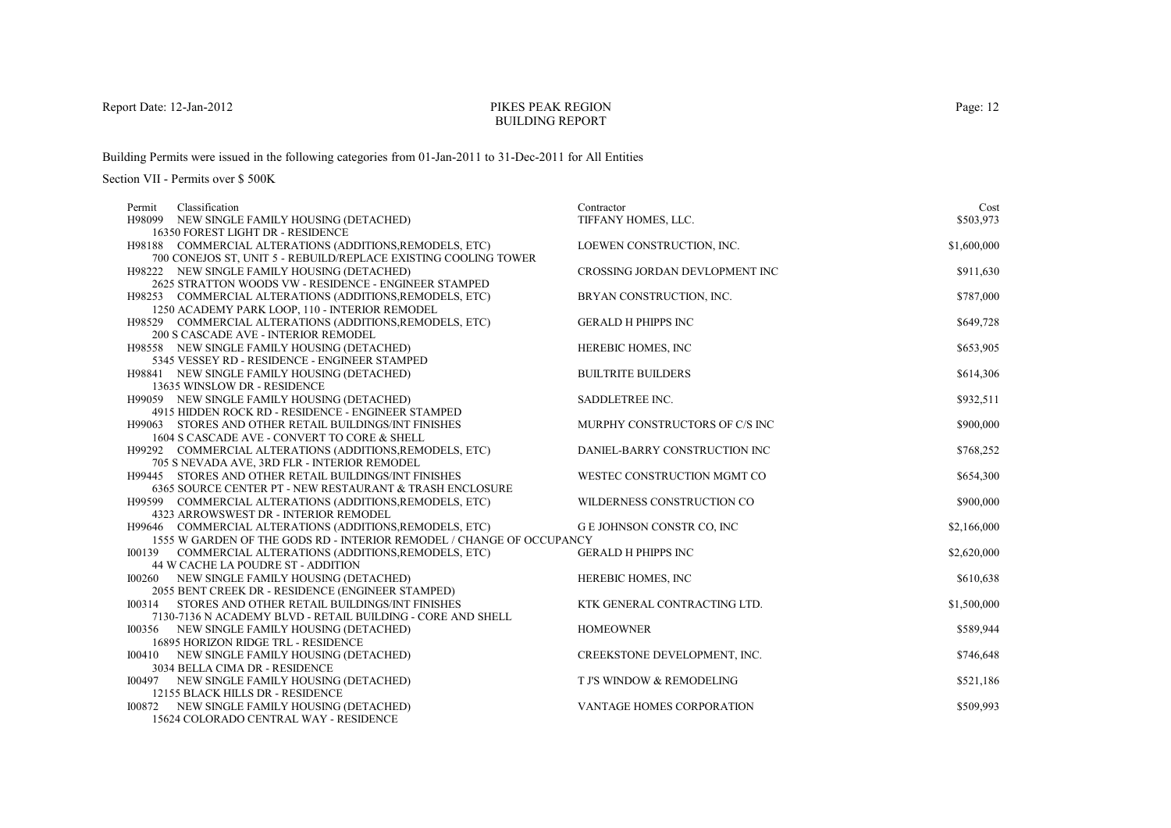## PIKES PEAK REGIONBUILDING REPORT

Building Permits were issued in the following categories from 01-Jan-2011 to 31-Dec-2011 for All Entities

| Classification<br>Permit                                                                                                          | Contractor                     | Cost        |
|-----------------------------------------------------------------------------------------------------------------------------------|--------------------------------|-------------|
| H98099 NEW SINGLE FAMILY HOUSING (DETACHED)                                                                                       | TIFFANY HOMES, LLC.            | \$503,973   |
| 16350 FOREST LIGHT DR - RESIDENCE                                                                                                 |                                |             |
| H98188 COMMERCIAL ALTERATIONS (ADDITIONS, REMODELS, ETC)                                                                          | LOEWEN CONSTRUCTION, INC.      | \$1,600,000 |
| 700 CONEJOS ST, UNIT 5 - REBUILD/REPLACE EXISTING COOLING TOWER                                                                   |                                |             |
| H98222 NEW SINGLE FAMILY HOUSING (DETACHED)                                                                                       | CROSSING JORDAN DEVLOPMENT INC | \$911,630   |
| 2625 STRATTON WOODS VW - RESIDENCE - ENGINEER STAMPED                                                                             |                                |             |
| H98253 COMMERCIAL ALTERATIONS (ADDITIONS, REMODELS, ETC)                                                                          | BRYAN CONSTRUCTION, INC.       | \$787,000   |
| 1250 ACADEMY PARK LOOP, 110 - INTERIOR REMODEL                                                                                    |                                |             |
| H98529 COMMERCIAL ALTERATIONS (ADDITIONS, REMODELS, ETC)                                                                          | <b>GERALD H PHIPPS INC</b>     | \$649,728   |
| 200 S CASCADE AVE - INTERIOR REMODEL                                                                                              |                                |             |
| H98558 NEW SINGLE FAMILY HOUSING (DETACHED)                                                                                       | HEREBIC HOMES, INC             | \$653,905   |
| 5345 VESSEY RD - RESIDENCE - ENGINEER STAMPED                                                                                     |                                |             |
| H98841 NEW SINGLE FAMILY HOUSING (DETACHED)                                                                                       | <b>BUILTRITE BUILDERS</b>      | \$614,306   |
| 13635 WINSLOW DR - RESIDENCE                                                                                                      |                                |             |
| H99059 NEW SINGLE FAMILY HOUSING (DETACHED)                                                                                       | SADDLETREE INC.                | \$932,511   |
| 4915 HIDDEN ROCK RD - RESIDENCE - ENGINEER STAMPED                                                                                |                                |             |
| H99063 STORES AND OTHER RETAIL BUILDINGS/INT FINISHES                                                                             | MURPHY CONSTRUCTORS OF C/S INC | \$900,000   |
| 1604 S CASCADE AVE - CONVERT TO CORE & SHELL                                                                                      |                                |             |
| H99292 COMMERCIAL ALTERATIONS (ADDITIONS, REMODELS, ETC)                                                                          | DANIEL-BARRY CONSTRUCTION INC  | \$768,252   |
| 705 S NEVADA AVE, 3RD FLR - INTERIOR REMODEL                                                                                      |                                |             |
| H99445 STORES AND OTHER RETAIL BUILDINGS/INT FINISHES                                                                             | WESTEC CONSTRUCTION MGMT CO    | \$654,300   |
| 6365 SOURCE CENTER PT - NEW RESTAURANT & TRASH ENCLOSURE                                                                          |                                |             |
| H99599 COMMERCIAL ALTERATIONS (ADDITIONS, REMODELS, ETC)                                                                          | WILDERNESS CONSTRUCTION CO     | \$900,000   |
| 4323 ARROWSWEST DR - INTERIOR REMODEL                                                                                             |                                |             |
| H99646 COMMERCIAL ALTERATIONS (ADDITIONS, REMODELS, ETC)<br>1555 W GARDEN OF THE GODS RD - INTERIOR REMODEL / CHANGE OF OCCUPANCY | G E JOHNSON CONSTR CO, INC     | \$2,166,000 |
| COMMERCIAL ALTERATIONS (ADDITIONS, REMODELS, ETC)<br>100139                                                                       | <b>GERALD H PHIPPS INC</b>     | \$2,620,000 |
| 44 W CACHE LA POUDRE ST - ADDITION                                                                                                |                                |             |
| 100260 NEW SINGLE FAMILY HOUSING (DETACHED)                                                                                       | HEREBIC HOMES, INC             | \$610,638   |
| 2055 BENT CREEK DR - RESIDENCE (ENGINEER STAMPED)                                                                                 |                                |             |
| 100314<br>STORES AND OTHER RETAIL BUILDINGS/INT FINISHES                                                                          | KTK GENERAL CONTRACTING LTD.   | \$1,500,000 |
| 7130-7136 N ACADEMY BLVD - RETAIL BUILDING - CORE AND SHELL                                                                       |                                |             |
| 100356<br>NEW SINGLE FAMILY HOUSING (DETACHED)                                                                                    | <b>HOMEOWNER</b>               | \$589,944   |
| 16895 HORIZON RIDGE TRL - RESIDENCE                                                                                               |                                |             |
| I00410<br>NEW SINGLE FAMILY HOUSING (DETACHED)                                                                                    | CREEKSTONE DEVELOPMENT, INC.   | \$746,648   |
| 3034 BELLA CIMA DR - RESIDENCE                                                                                                    |                                |             |
| 100497 NEW SINGLE FAMILY HOUSING (DETACHED)                                                                                       | T J'S WINDOW & REMODELING      | \$521,186   |
| 12155 BLACK HILLS DR - RESIDENCE                                                                                                  |                                |             |
| NEW SINGLE FAMILY HOUSING (DETACHED)<br>100872                                                                                    | VANTAGE HOMES CORPORATION      | \$509,993   |
| 15624 COLORADO CENTRAL WAY - RESIDENCE                                                                                            |                                |             |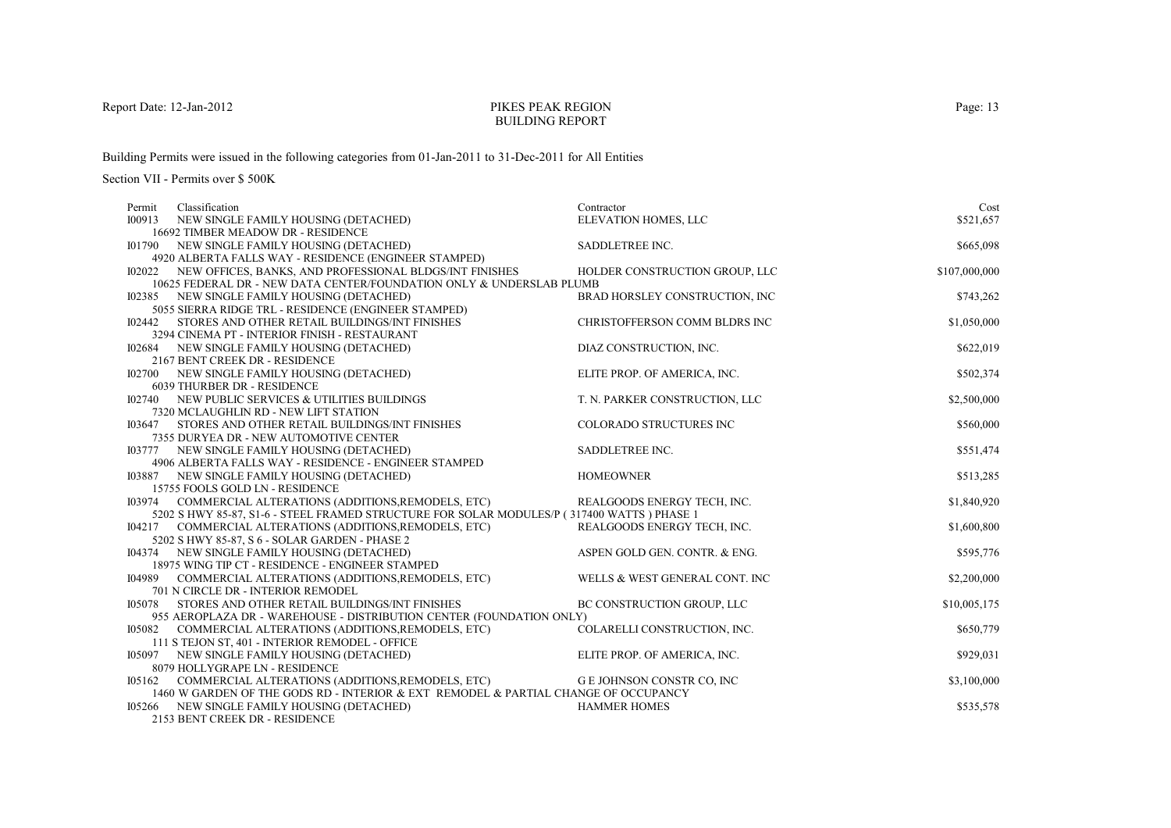#### PIKES PEAK REGIONBUILDING REPORT

Building Permits were issued in the following categories from 01-Jan-2011 to 31-Dec-2011 for All Entities

| Permit                                                                                                                                                    | Classification                                                                  | Contractor                     | Cost          |  |
|-----------------------------------------------------------------------------------------------------------------------------------------------------------|---------------------------------------------------------------------------------|--------------------------------|---------------|--|
| I00913                                                                                                                                                    | NEW SINGLE FAMILY HOUSING (DETACHED)                                            | ELEVATION HOMES, LLC           | \$521,657     |  |
|                                                                                                                                                           | <b>16692 TIMBER MEADOW DR - RESIDENCE</b>                                       |                                |               |  |
|                                                                                                                                                           | 101790 NEW SINGLE FAMILY HOUSING (DETACHED)                                     | SADDLETREE INC.                | \$665,098     |  |
|                                                                                                                                                           | 4920 ALBERTA FALLS WAY - RESIDENCE (ENGINEER STAMPED)                           |                                |               |  |
|                                                                                                                                                           | 102022 NEW OFFICES, BANKS, AND PROFESSIONAL BLDGS/INT FINISHES                  | HOLDER CONSTRUCTION GROUP, LLC | \$107,000,000 |  |
|                                                                                                                                                           | 10625 FEDERAL DR - NEW DATA CENTER/FOUNDATION ONLY & UNDERSLAB PLUMB            |                                |               |  |
|                                                                                                                                                           | 102385 NEW SINGLE FAMILY HOUSING (DETACHED)                                     | BRAD HORSLEY CONSTRUCTION, INC | \$743,262     |  |
|                                                                                                                                                           | 5055 SIERRA RIDGE TRL - RESIDENCE (ENGINEER STAMPED)                            |                                |               |  |
| 102442                                                                                                                                                    | STORES AND OTHER RETAIL BUILDINGS/INT FINISHES                                  | CHRISTOFFERSON COMM BLDRS INC  | \$1,050,000   |  |
|                                                                                                                                                           | 3294 CINEMA PT - INTERIOR FINISH - RESTAURANT                                   |                                |               |  |
|                                                                                                                                                           | 102684 NEW SINGLE FAMILY HOUSING (DETACHED)                                     | DIAZ CONSTRUCTION, INC.        | \$622,019     |  |
|                                                                                                                                                           | 2167 BENT CREEK DR - RESIDENCE                                                  |                                |               |  |
|                                                                                                                                                           | <b>I02700 NEW SINGLE FAMILY HOUSING (DETACHED)</b>                              | ELITE PROP. OF AMERICA, INC.   | \$502,374     |  |
|                                                                                                                                                           | 6039 THURBER DR - RESIDENCE<br>102740 NEW PUBLIC SERVICES & UTILITIES BUILDINGS |                                | \$2,500,000   |  |
|                                                                                                                                                           | 7320 MCLAUGHLIN RD - NEW LIFT STATION                                           | T. N. PARKER CONSTRUCTION, LLC |               |  |
| 103647                                                                                                                                                    | STORES AND OTHER RETAIL BUILDINGS/INT FINISHES                                  | COLORADO STRUCTURES INC        | \$560,000     |  |
|                                                                                                                                                           | 7355 DURYEA DR - NEW AUTOMOTIVE CENTER                                          |                                |               |  |
|                                                                                                                                                           | 103777 NEW SINGLE FAMILY HOUSING (DETACHED)                                     | SADDLETREE INC.                | \$551,474     |  |
|                                                                                                                                                           | 4906 ALBERTA FALLS WAY - RESIDENCE - ENGINEER STAMPED                           |                                |               |  |
|                                                                                                                                                           | 103887 NEW SINGLE FAMILY HOUSING (DETACHED)                                     | <b>HOMEOWNER</b>               | \$513,285     |  |
|                                                                                                                                                           | 15755 FOOLS GOLD LN - RESIDENCE                                                 |                                |               |  |
|                                                                                                                                                           | 103974 COMMERCIAL ALTERATIONS (ADDITIONS, REMODELS, ETC)                        | REALGOODS ENERGY TECH, INC.    | \$1,840,920   |  |
| 5202 S HWY 85-87, S1-6 - STEEL FRAMED STRUCTURE FOR SOLAR MODULES/P (317400 WATTS) PHASE 1                                                                |                                                                                 |                                |               |  |
|                                                                                                                                                           | 104217 COMMERCIAL ALTERATIONS (ADDITIONS, REMODELS, ETC)                        | REALGOODS ENERGY TECH, INC.    | \$1,600,800   |  |
|                                                                                                                                                           | 5202 SHWY 85-87, S 6 - SOLAR GARDEN - PHASE 2                                   |                                |               |  |
|                                                                                                                                                           | 104374 NEW SINGLE FAMILY HOUSING (DETACHED)                                     | ASPEN GOLD GEN. CONTR. & ENG.  | \$595,776     |  |
|                                                                                                                                                           | 18975 WING TIP CT - RESIDENCE - ENGINEER STAMPED                                |                                |               |  |
|                                                                                                                                                           | 104989 COMMERCIAL ALTERATIONS (ADDITIONS, REMODELS, ETC)                        | WELLS & WEST GENERAL CONT. INC | \$2,200,000   |  |
|                                                                                                                                                           | 701 N CIRCLE DR - INTERIOR REMODEL                                              |                                |               |  |
| 105078                                                                                                                                                    | STORES AND OTHER RETAIL BUILDINGS/INT FINISHES                                  | BC CONSTRUCTION GROUP, LLC     | \$10,005,175  |  |
| 955 AEROPLAZA DR - WAREHOUSE - DISTRIBUTION CENTER (FOUNDATION ONLY)                                                                                      |                                                                                 |                                |               |  |
| 105082                                                                                                                                                    | COMMERCIAL ALTERATIONS (ADDITIONS, REMODELS, ETC)                               | COLARELLI CONSTRUCTION, INC.   | \$650,779     |  |
|                                                                                                                                                           | 111 S TEJON ST, 401 - INTERIOR REMODEL - OFFICE                                 |                                |               |  |
|                                                                                                                                                           | 105097 NEW SINGLE FAMILY HOUSING (DETACHED)                                     | ELITE PROP. OF AMERICA, INC.   | \$929,031     |  |
|                                                                                                                                                           | 8079 HOLLYGRAPE LN - RESIDENCE                                                  |                                |               |  |
| 105162 COMMERCIAL ALTERATIONS (ADDITIONS, REMODELS, ETC)<br>G E JOHNSON CONSTR CO, INC                                                                    |                                                                                 |                                | \$3,100,000   |  |
| 1460 W GARDEN OF THE GODS RD - INTERIOR & EXT REMODEL & PARTIAL CHANGE OF OCCUPANCY<br>105266 NEW SINGLE FAMILY HOUSING (DETACHED)<br><b>HAMMER HOMES</b> |                                                                                 |                                |               |  |
|                                                                                                                                                           | 2153 BENT CREEK DR - RESIDENCE                                                  |                                | \$535,578     |  |
|                                                                                                                                                           |                                                                                 |                                |               |  |